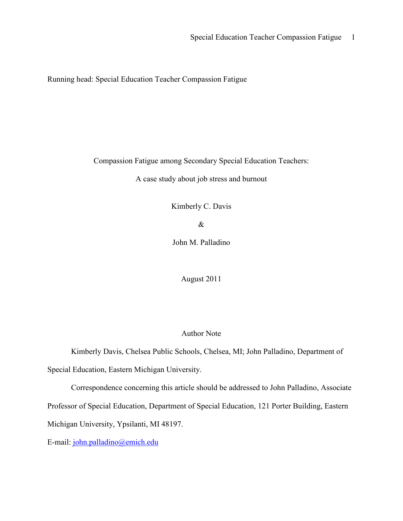Running head: Special Education Teacher Compassion Fatigue

Compassion Fatigue among Secondary Special Education Teachers:

A case study about job stress and burnout

Kimberly C. Davis

&

John M. Palladino

August 2011

# Author Note

Kimberly Davis, Chelsea Public Schools, Chelsea, MI; John Palladino, Department of

Special Education, Eastern Michigan University.

Correspondence concerning this article should be addressed to John Palladino, Associate

Professor of Special Education, Department of Special Education, 121 Porter Building, Eastern

Michigan University, Ypsilanti, MI 48197.

E-mail: john.palladino@emich.edu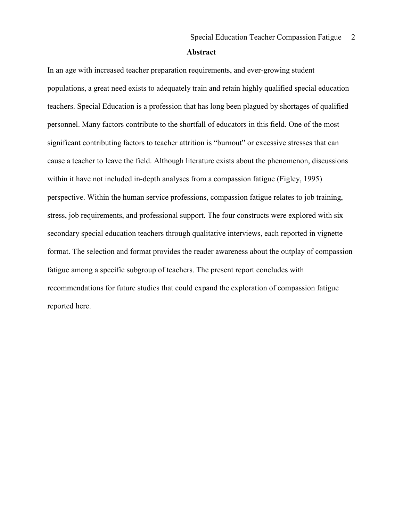#### Abstract

In an age with increased teacher preparation requirements, and ever-growing student populations, a great need exists to adequately train and retain highly qualified special education teachers. Special Education is a profession that has long been plagued by shortages of qualified personnel. Many factors contribute to the shortfall of educators in this field. One of the most significant contributing factors to teacher attrition is "burnout" or excessive stresses that can cause a teacher to leave the field. Although literature exists about the phenomenon, discussions within it have not included in-depth analyses from a compassion fatigue (Figley, 1995) perspective. Within the human service professions, compassion fatigue relates to job training, stress, job requirements, and professional support. The four constructs were explored with six secondary special education teachers through qualitative interviews, each reported in vignette format. The selection and format provides the reader awareness about the outplay of compassion fatigue among a specific subgroup of teachers. The present report concludes with recommendations for future studies that could expand the exploration of compassion fatigue reported here.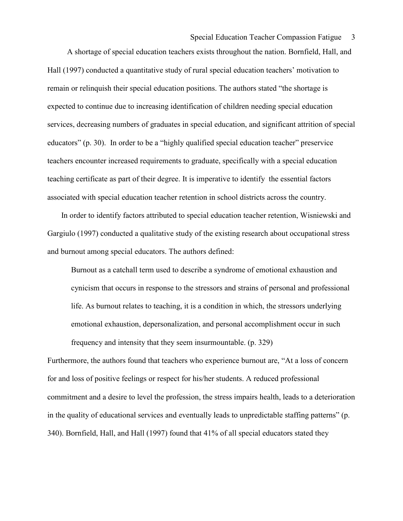### Special Education Teacher Compassion Fatigue 3

 A shortage of special education teachers exists throughout the nation. Bornfield, Hall, and Hall (1997) conducted a quantitative study of rural special education teachers' motivation to remain or relinquish their special education positions. The authors stated "the shortage is expected to continue due to increasing identification of children needing special education services, decreasing numbers of graduates in special education, and significant attrition of special educators" (p. 30). In order to be a "highly qualified special education teacher" preservice teachers encounter increased requirements to graduate, specifically with a special education teaching certificate as part of their degree. It is imperative to identify the essential factors associated with special education teacher retention in school districts across the country.

 In order to identify factors attributed to special education teacher retention, Wisniewski and Gargiulo (1997) conducted a qualitative study of the existing research about occupational stress and burnout among special educators. The authors defined:

Burnout as a catchall term used to describe a syndrome of emotional exhaustion and cynicism that occurs in response to the stressors and strains of personal and professional life. As burnout relates to teaching, it is a condition in which, the stressors underlying emotional exhaustion, depersonalization, and personal accomplishment occur in such frequency and intensity that they seem insurmountable. (p. 329)

Furthermore, the authors found that teachers who experience burnout are, "At a loss of concern for and loss of positive feelings or respect for his/her students. A reduced professional commitment and a desire to level the profession, the stress impairs health, leads to a deterioration in the quality of educational services and eventually leads to unpredictable staffing patterns" (p. 340). Bornfield, Hall, and Hall (1997) found that 41% of all special educators stated they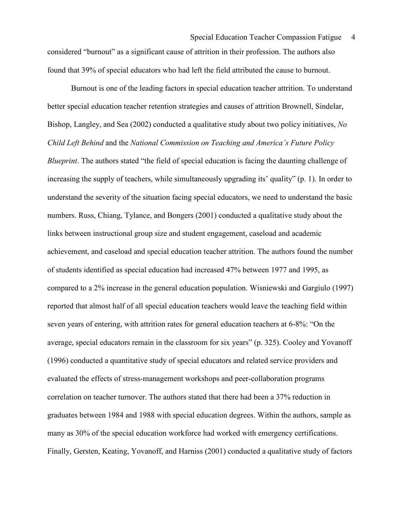Special Education Teacher Compassion Fatigue 4 considered "burnout" as a significant cause of attrition in their profession. The authors also found that 39% of special educators who had left the field attributed the cause to burnout.

 Burnout is one of the leading factors in special education teacher attrition. To understand better special education teacher retention strategies and causes of attrition Brownell, Sindelar, Bishop, Langley, and Sea (2002) conducted a qualitative study about two policy initiatives, No Child Left Behind and the National Commission on Teaching and America's Future Policy Blueprint. The authors stated "the field of special education is facing the daunting challenge of increasing the supply of teachers, while simultaneously upgrading its' quality" (p. 1). In order to understand the severity of the situation facing special educators, we need to understand the basic numbers. Russ, Chiang, Tylance, and Bongers (2001) conducted a qualitative study about the links between instructional group size and student engagement, caseload and academic achievement, and caseload and special education teacher attrition. The authors found the number of students identified as special education had increased 47% between 1977 and 1995, as compared to a 2% increase in the general education population. Wisniewski and Gargiulo (1997) reported that almost half of all special education teachers would leave the teaching field within seven years of entering, with attrition rates for general education teachers at 6-8%: "On the average, special educators remain in the classroom for six years" (p. 325). Cooley and Yovanoff (1996) conducted a quantitative study of special educators and related service providers and evaluated the effects of stress-management workshops and peer-collaboration programs correlation on teacher turnover. The authors stated that there had been a 37% reduction in graduates between 1984 and 1988 with special education degrees. Within the authors, sample as many as 30% of the special education workforce had worked with emergency certifications. Finally, Gersten, Keating, Yovanoff, and Harniss (2001) conducted a qualitative study of factors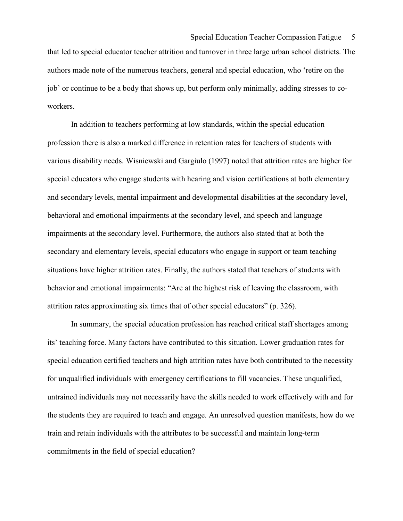that led to special educator teacher attrition and turnover in three large urban school districts. The authors made note of the numerous teachers, general and special education, who 'retire on the job' or continue to be a body that shows up, but perform only minimally, adding stresses to coworkers.

 In addition to teachers performing at low standards, within the special education profession there is also a marked difference in retention rates for teachers of students with various disability needs. Wisniewski and Gargiulo (1997) noted that attrition rates are higher for special educators who engage students with hearing and vision certifications at both elementary and secondary levels, mental impairment and developmental disabilities at the secondary level, behavioral and emotional impairments at the secondary level, and speech and language impairments at the secondary level. Furthermore, the authors also stated that at both the secondary and elementary levels, special educators who engage in support or team teaching situations have higher attrition rates. Finally, the authors stated that teachers of students with behavior and emotional impairments: "Are at the highest risk of leaving the classroom, with attrition rates approximating six times that of other special educators" (p. 326).

 In summary, the special education profession has reached critical staff shortages among its' teaching force. Many factors have contributed to this situation. Lower graduation rates for special education certified teachers and high attrition rates have both contributed to the necessity for unqualified individuals with emergency certifications to fill vacancies. These unqualified, untrained individuals may not necessarily have the skills needed to work effectively with and for the students they are required to teach and engage. An unresolved question manifests, how do we train and retain individuals with the attributes to be successful and maintain long-term commitments in the field of special education?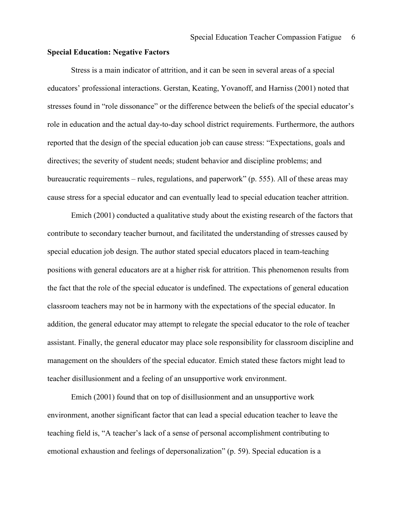### Special Education: Negative Factors

 Stress is a main indicator of attrition, and it can be seen in several areas of a special educators' professional interactions. Gerstan, Keating, Yovanoff, and Harniss (2001) noted that stresses found in "role dissonance" or the difference between the beliefs of the special educator's role in education and the actual day-to-day school district requirements. Furthermore, the authors reported that the design of the special education job can cause stress: "Expectations, goals and directives; the severity of student needs; student behavior and discipline problems; and bureaucratic requirements – rules, regulations, and paperwork" (p. 555). All of these areas may cause stress for a special educator and can eventually lead to special education teacher attrition.

 Emich (2001) conducted a qualitative study about the existing research of the factors that contribute to secondary teacher burnout, and facilitated the understanding of stresses caused by special education job design. The author stated special educators placed in team-teaching positions with general educators are at a higher risk for attrition. This phenomenon results from the fact that the role of the special educator is undefined. The expectations of general education classroom teachers may not be in harmony with the expectations of the special educator. In addition, the general educator may attempt to relegate the special educator to the role of teacher assistant. Finally, the general educator may place sole responsibility for classroom discipline and management on the shoulders of the special educator. Emich stated these factors might lead to teacher disillusionment and a feeling of an unsupportive work environment.

 Emich (2001) found that on top of disillusionment and an unsupportive work environment, another significant factor that can lead a special education teacher to leave the teaching field is, "A teacher's lack of a sense of personal accomplishment contributing to emotional exhaustion and feelings of depersonalization" (p. 59). Special education is a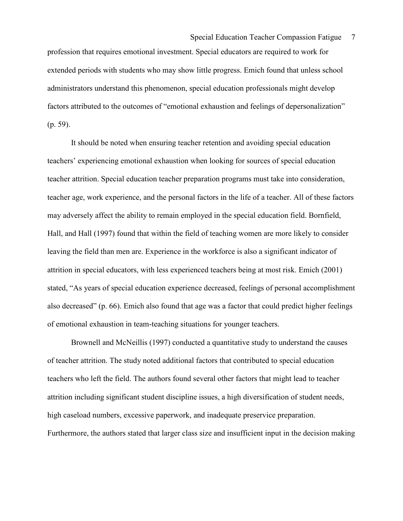profession that requires emotional investment. Special educators are required to work for extended periods with students who may show little progress. Emich found that unless school administrators understand this phenomenon, special education professionals might develop factors attributed to the outcomes of "emotional exhaustion and feelings of depersonalization" (p. 59).

 It should be noted when ensuring teacher retention and avoiding special education teachers' experiencing emotional exhaustion when looking for sources of special education teacher attrition. Special education teacher preparation programs must take into consideration, teacher age, work experience, and the personal factors in the life of a teacher. All of these factors may adversely affect the ability to remain employed in the special education field. Bornfield, Hall, and Hall (1997) found that within the field of teaching women are more likely to consider leaving the field than men are. Experience in the workforce is also a significant indicator of attrition in special educators, with less experienced teachers being at most risk. Emich (2001) stated, "As years of special education experience decreased, feelings of personal accomplishment also decreased" (p. 66). Emich also found that age was a factor that could predict higher feelings of emotional exhaustion in team-teaching situations for younger teachers.

 Brownell and McNeillis (1997) conducted a quantitative study to understand the causes of teacher attrition. The study noted additional factors that contributed to special education teachers who left the field. The authors found several other factors that might lead to teacher attrition including significant student discipline issues, a high diversification of student needs, high caseload numbers, excessive paperwork, and inadequate preservice preparation. Furthermore, the authors stated that larger class size and insufficient input in the decision making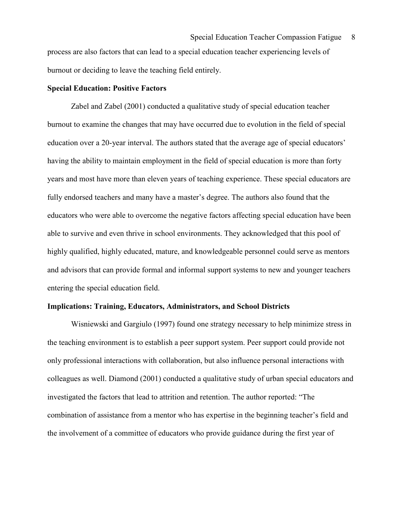process are also factors that can lead to a special education teacher experiencing levels of burnout or deciding to leave the teaching field entirely.

# Special Education: Positive Factors

 Zabel and Zabel (2001) conducted a qualitative study of special education teacher burnout to examine the changes that may have occurred due to evolution in the field of special education over a 20-year interval. The authors stated that the average age of special educators' having the ability to maintain employment in the field of special education is more than forty years and most have more than eleven years of teaching experience. These special educators are fully endorsed teachers and many have a master's degree. The authors also found that the educators who were able to overcome the negative factors affecting special education have been able to survive and even thrive in school environments. They acknowledged that this pool of highly qualified, highly educated, mature, and knowledgeable personnel could serve as mentors and advisors that can provide formal and informal support systems to new and younger teachers entering the special education field.

#### Implications: Training, Educators, Administrators, and School Districts

Wisniewski and Gargiulo (1997) found one strategy necessary to help minimize stress in the teaching environment is to establish a peer support system. Peer support could provide not only professional interactions with collaboration, but also influence personal interactions with colleagues as well. Diamond (2001) conducted a qualitative study of urban special educators and investigated the factors that lead to attrition and retention. The author reported: "The combination of assistance from a mentor who has expertise in the beginning teacher's field and the involvement of a committee of educators who provide guidance during the first year of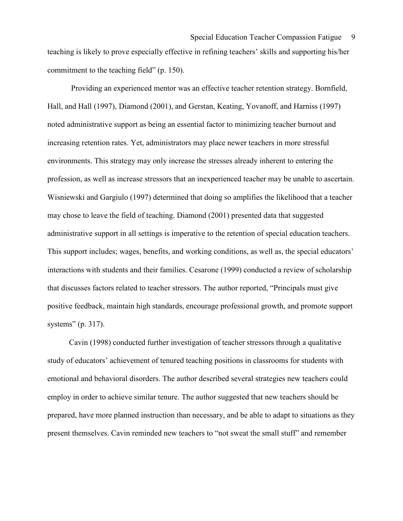teaching is likely to prove especially effective in refining teachers' skills and supporting his/her commitment to the teaching field" (p. 150).

 Providing an experienced mentor was an effective teacher retention strategy. Bornfield, Hall, and Hall (1997), Diamond (2001), and Gerstan, Keating, Yovanoff, and Harniss (1997) noted administrative support as being an essential factor to minimizing teacher burnout and increasing retention rates. Yet, administrators may place newer teachers in more stressful environments. This strategy may only increase the stresses already inherent to entering the profession, as well as increase stressors that an inexperienced teacher may be unable to ascertain. Wisniewski and Gargiulo (1997) determined that doing so amplifies the likelihood that a teacher may chose to leave the field of teaching. Diamond (2001) presented data that suggested administrative support in all settings is imperative to the retention of special education teachers. This support includes; wages, benefits, and working conditions, as well as, the special educators' interactions with students and their families. Cesarone (1999) conducted a review of scholarship that discusses factors related to teacher stressors. The author reported, "Principals must give positive feedback, maintain high standards, encourage professional growth, and promote support systems" (p. 317).

 Cavin (1998) conducted further investigation of teacher stressors through a qualitative study of educators' achievement of tenured teaching positions in classrooms for students with emotional and behavioral disorders. The author described several strategies new teachers could employ in order to achieve similar tenure. The author suggested that new teachers should be prepared, have more planned instruction than necessary, and be able to adapt to situations as they present themselves. Cavin reminded new teachers to "not sweat the small stuff" and remember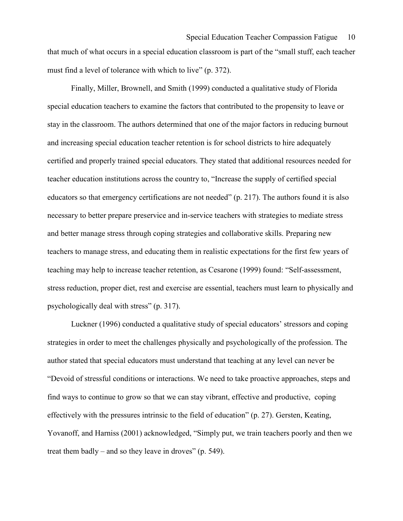that much of what occurs in a special education classroom is part of the "small stuff, each teacher must find a level of tolerance with which to live" (p. 372).

 Finally, Miller, Brownell, and Smith (1999) conducted a qualitative study of Florida special education teachers to examine the factors that contributed to the propensity to leave or stay in the classroom. The authors determined that one of the major factors in reducing burnout and increasing special education teacher retention is for school districts to hire adequately certified and properly trained special educators. They stated that additional resources needed for teacher education institutions across the country to, "Increase the supply of certified special educators so that emergency certifications are not needed" (p. 217). The authors found it is also necessary to better prepare preservice and in-service teachers with strategies to mediate stress and better manage stress through coping strategies and collaborative skills. Preparing new teachers to manage stress, and educating them in realistic expectations for the first few years of teaching may help to increase teacher retention, as Cesarone (1999) found: "Self-assessment, stress reduction, proper diet, rest and exercise are essential, teachers must learn to physically and psychologically deal with stress" (p. 317).

 Luckner (1996) conducted a qualitative study of special educators' stressors and coping strategies in order to meet the challenges physically and psychologically of the profession. The author stated that special educators must understand that teaching at any level can never be "Devoid of stressful conditions or interactions. We need to take proactive approaches, steps and find ways to continue to grow so that we can stay vibrant, effective and productive, coping effectively with the pressures intrinsic to the field of education" (p. 27). Gersten, Keating, Yovanoff, and Harniss (2001) acknowledged, "Simply put, we train teachers poorly and then we treat them badly – and so they leave in droves" (p. 549).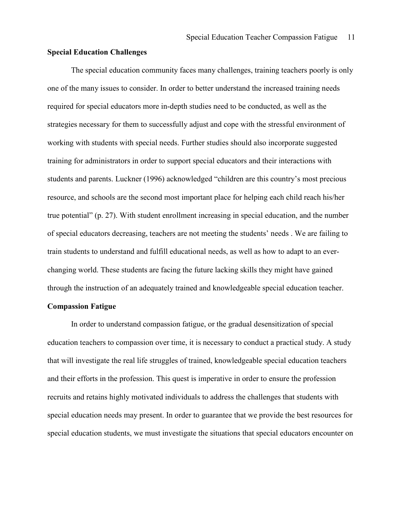### Special Education Challenges

The special education community faces many challenges, training teachers poorly is only one of the many issues to consider. In order to better understand the increased training needs required for special educators more in-depth studies need to be conducted, as well as the strategies necessary for them to successfully adjust and cope with the stressful environment of working with students with special needs. Further studies should also incorporate suggested training for administrators in order to support special educators and their interactions with students and parents. Luckner (1996) acknowledged "children are this country's most precious resource, and schools are the second most important place for helping each child reach his/her true potential" (p. 27). With student enrollment increasing in special education, and the number of special educators decreasing, teachers are not meeting the students' needs . We are failing to train students to understand and fulfill educational needs, as well as how to adapt to an everchanging world. These students are facing the future lacking skills they might have gained through the instruction of an adequately trained and knowledgeable special education teacher.

### Compassion Fatigue

In order to understand compassion fatigue, or the gradual desensitization of special education teachers to compassion over time, it is necessary to conduct a practical study. A study that will investigate the real life struggles of trained, knowledgeable special education teachers and their efforts in the profession. This quest is imperative in order to ensure the profession recruits and retains highly motivated individuals to address the challenges that students with special education needs may present. In order to guarantee that we provide the best resources for special education students, we must investigate the situations that special educators encounter on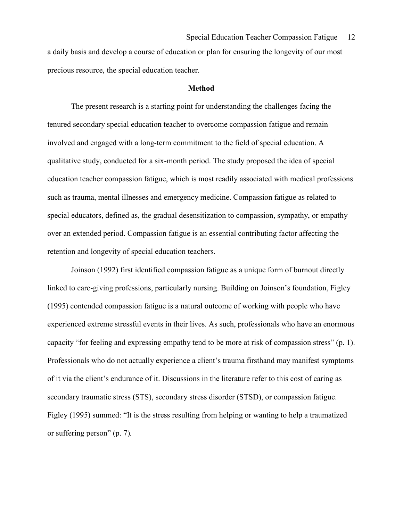a daily basis and develop a course of education or plan for ensuring the longevity of our most precious resource, the special education teacher.

### Method

The present research is a starting point for understanding the challenges facing the tenured secondary special education teacher to overcome compassion fatigue and remain involved and engaged with a long-term commitment to the field of special education. A qualitative study, conducted for a six-month period. The study proposed the idea of special education teacher compassion fatigue, which is most readily associated with medical professions such as trauma, mental illnesses and emergency medicine. Compassion fatigue as related to special educators, defined as, the gradual desensitization to compassion, sympathy, or empathy over an extended period. Compassion fatigue is an essential contributing factor affecting the retention and longevity of special education teachers.

Joinson (1992) first identified compassion fatigue as a unique form of burnout directly linked to care-giving professions, particularly nursing. Building on Joinson's foundation, Figley (1995) contended compassion fatigue is a natural outcome of working with people who have experienced extreme stressful events in their lives. As such, professionals who have an enormous capacity "for feeling and expressing empathy tend to be more at risk of compassion stress" (p. 1). Professionals who do not actually experience a client's trauma firsthand may manifest symptoms of it via the client's endurance of it. Discussions in the literature refer to this cost of caring as secondary traumatic stress (STS), secondary stress disorder (STSD), or compassion fatigue. Figley (1995) summed: "It is the stress resulting from helping or wanting to help a traumatized or suffering person" (p. 7).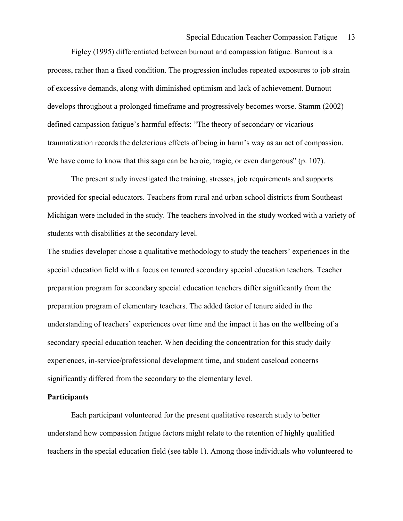Figley (1995) differentiated between burnout and compassion fatigue. Burnout is a process, rather than a fixed condition. The progression includes repeated exposures to job strain of excessive demands, along with diminished optimism and lack of achievement. Burnout develops throughout a prolonged timeframe and progressively becomes worse. Stamm (2002) defined campassion fatigue's harmful effects: "The theory of secondary or vicarious traumatization records the deleterious effects of being in harm's way as an act of compassion. We have come to know that this saga can be heroic, tragic, or even dangerous" (p. 107).

The present study investigated the training, stresses, job requirements and supports provided for special educators. Teachers from rural and urban school districts from Southeast Michigan were included in the study. The teachers involved in the study worked with a variety of students with disabilities at the secondary level.

The studies developer chose a qualitative methodology to study the teachers' experiences in the special education field with a focus on tenured secondary special education teachers. Teacher preparation program for secondary special education teachers differ significantly from the preparation program of elementary teachers. The added factor of tenure aided in the understanding of teachers' experiences over time and the impact it has on the wellbeing of a secondary special education teacher. When deciding the concentration for this study daily experiences, in-service/professional development time, and student caseload concerns significantly differed from the secondary to the elementary level.

# **Participants**

Each participant volunteered for the present qualitative research study to better understand how compassion fatigue factors might relate to the retention of highly qualified teachers in the special education field (see table 1). Among those individuals who volunteered to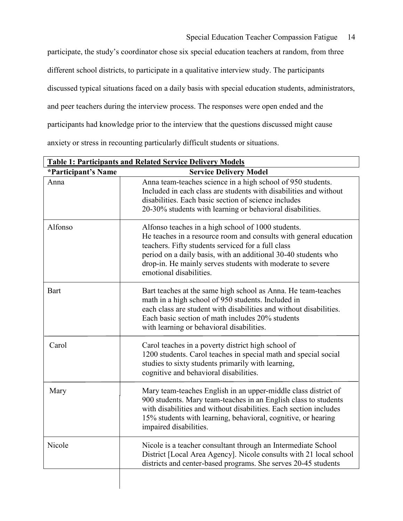Special Education Teacher Compassion Fatigue 14

participate, the study's coordinator chose six special education teachers at random, from three different school districts, to participate in a qualitative interview study. The participants discussed typical situations faced on a daily basis with special education students, administrators, and peer teachers during the interview process. The responses were open ended and the participants had knowledge prior to the interview that the questions discussed might cause anxiety or stress in recounting particularly difficult students or situations.

| <b>Table 1: Participants and Related Service Delivery Models</b> |                                                                                                                                                                                                                                                                                                                                          |
|------------------------------------------------------------------|------------------------------------------------------------------------------------------------------------------------------------------------------------------------------------------------------------------------------------------------------------------------------------------------------------------------------------------|
| *Participant's Name                                              | <b>Service Delivery Model</b>                                                                                                                                                                                                                                                                                                            |
| Anna                                                             | Anna team-teaches science in a high school of 950 students.<br>Included in each class are students with disabilities and without<br>disabilities. Each basic section of science includes<br>20-30% students with learning or behavioral disabilities.                                                                                    |
| Alfonso                                                          | Alfonso teaches in a high school of 1000 students.<br>He teaches in a resource room and consults with general education<br>teachers. Fifty students serviced for a full class<br>period on a daily basis, with an additional 30-40 students who<br>drop-in. He mainly serves students with moderate to severe<br>emotional disabilities. |
| <b>Bart</b>                                                      | Bart teaches at the same high school as Anna. He team-teaches<br>math in a high school of 950 students. Included in<br>each class are student with disabilities and without disabilities.<br>Each basic section of math includes 20% students<br>with learning or behavioral disabilities.                                               |
| Carol                                                            | Carol teaches in a poverty district high school of<br>1200 students. Carol teaches in special math and special social<br>studies to sixty students primarily with learning,<br>cognitive and behavioral disabilities.                                                                                                                    |
| Mary                                                             | Mary team-teaches English in an upper-middle class district of<br>900 students. Mary team-teaches in an English class to students<br>with disabilities and without disabilities. Each section includes<br>15% students with learning, behavioral, cognitive, or hearing<br>impaired disabilities.                                        |
| Nicole                                                           | Nicole is a teacher consultant through an Intermediate School<br>District [Local Area Agency]. Nicole consults with 21 local school<br>districts and center-based programs. She serves 20-45 students                                                                                                                                    |
|                                                                  |                                                                                                                                                                                                                                                                                                                                          |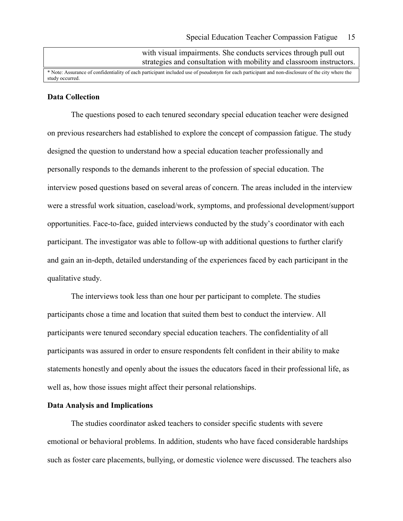with visual impairments. She conducts services through pull out strategies and consultation with mobility and classroom instructors.

\* Note: Assurance of confidentiality of each participant included use of pseudonym for each participant and non-disclosure of the city where the study occurred.

### Data Collection

The questions posed to each tenured secondary special education teacher were designed on previous researchers had established to explore the concept of compassion fatigue. The study designed the question to understand how a special education teacher professionally and personally responds to the demands inherent to the profession of special education. The interview posed questions based on several areas of concern. The areas included in the interview were a stressful work situation, caseload/work, symptoms, and professional development/support opportunities. Face-to-face, guided interviews conducted by the study's coordinator with each participant. The investigator was able to follow-up with additional questions to further clarify and gain an in-depth, detailed understanding of the experiences faced by each participant in the qualitative study.

The interviews took less than one hour per participant to complete. The studies participants chose a time and location that suited them best to conduct the interview. All participants were tenured secondary special education teachers. The confidentiality of all participants was assured in order to ensure respondents felt confident in their ability to make statements honestly and openly about the issues the educators faced in their professional life, as well as, how those issues might affect their personal relationships.

# Data Analysis and Implications

The studies coordinator asked teachers to consider specific students with severe emotional or behavioral problems. In addition, students who have faced considerable hardships such as foster care placements, bullying, or domestic violence were discussed. The teachers also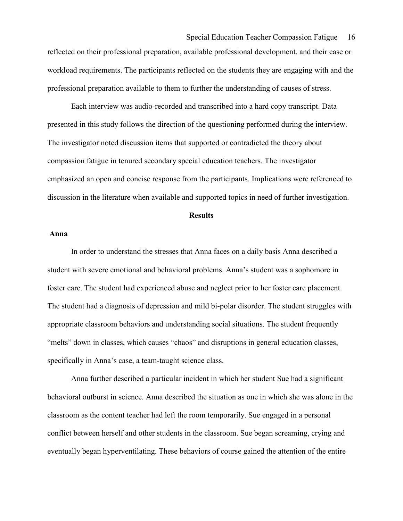# Special Education Teacher Compassion Fatigue 16

reflected on their professional preparation, available professional development, and their case or workload requirements. The participants reflected on the students they are engaging with and the professional preparation available to them to further the understanding of causes of stress.

Each interview was audio-recorded and transcribed into a hard copy transcript. Data presented in this study follows the direction of the questioning performed during the interview. The investigator noted discussion items that supported or contradicted the theory about compassion fatigue in tenured secondary special education teachers. The investigator emphasized an open and concise response from the participants. Implications were referenced to discussion in the literature when available and supported topics in need of further investigation.

### **Results**

### Anna

In order to understand the stresses that Anna faces on a daily basis Anna described a student with severe emotional and behavioral problems. Anna's student was a sophomore in foster care. The student had experienced abuse and neglect prior to her foster care placement. The student had a diagnosis of depression and mild bi-polar disorder. The student struggles with appropriate classroom behaviors and understanding social situations. The student frequently "melts" down in classes, which causes "chaos" and disruptions in general education classes, specifically in Anna's case, a team-taught science class.

Anna further described a particular incident in which her student Sue had a significant behavioral outburst in science. Anna described the situation as one in which she was alone in the classroom as the content teacher had left the room temporarily. Sue engaged in a personal conflict between herself and other students in the classroom. Sue began screaming, crying and eventually began hyperventilating. These behaviors of course gained the attention of the entire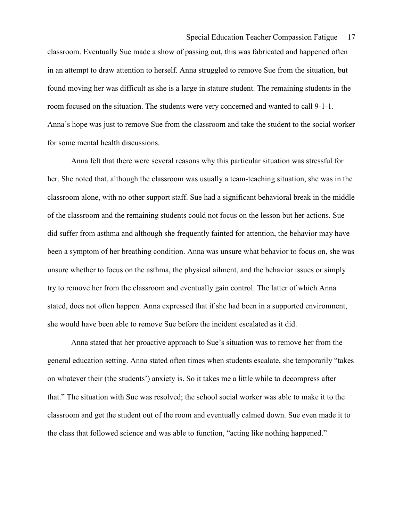classroom. Eventually Sue made a show of passing out, this was fabricated and happened often in an attempt to draw attention to herself. Anna struggled to remove Sue from the situation, but found moving her was difficult as she is a large in stature student. The remaining students in the room focused on the situation. The students were very concerned and wanted to call 9-1-1. Anna's hope was just to remove Sue from the classroom and take the student to the social worker for some mental health discussions.

Anna felt that there were several reasons why this particular situation was stressful for her. She noted that, although the classroom was usually a team-teaching situation, she was in the classroom alone, with no other support staff. Sue had a significant behavioral break in the middle of the classroom and the remaining students could not focus on the lesson but her actions. Sue did suffer from asthma and although she frequently fainted for attention, the behavior may have been a symptom of her breathing condition. Anna was unsure what behavior to focus on, she was unsure whether to focus on the asthma, the physical ailment, and the behavior issues or simply try to remove her from the classroom and eventually gain control. The latter of which Anna stated, does not often happen. Anna expressed that if she had been in a supported environment, she would have been able to remove Sue before the incident escalated as it did.

Anna stated that her proactive approach to Sue's situation was to remove her from the general education setting. Anna stated often times when students escalate, she temporarily "takes on whatever their (the students') anxiety is. So it takes me a little while to decompress after that." The situation with Sue was resolved; the school social worker was able to make it to the classroom and get the student out of the room and eventually calmed down. Sue even made it to the class that followed science and was able to function, "acting like nothing happened."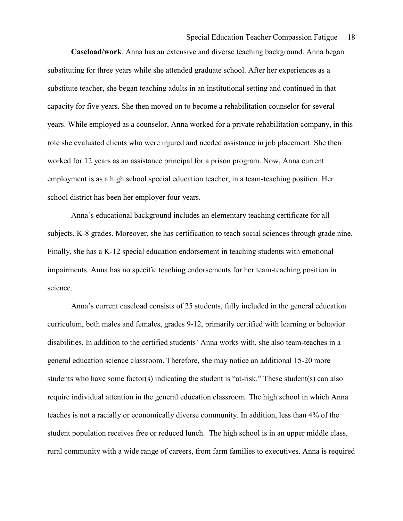Caseload/work. Anna has an extensive and diverse teaching background. Anna began substituting for three years while she attended graduate school. After her experiences as a substitute teacher, she began teaching adults in an institutional setting and continued in that capacity for five years. She then moved on to become a rehabilitation counselor for several years. While employed as a counselor, Anna worked for a private rehabilitation company, in this role she evaluated clients who were injured and needed assistance in job placement. She then worked for 12 years as an assistance principal for a prison program. Now, Anna current employment is as a high school special education teacher, in a team-teaching position. Her school district has been her employer four years.

Anna's educational background includes an elementary teaching certificate for all subjects, K-8 grades. Moreover, she has certification to teach social sciences through grade nine. Finally, she has a K-12 special education endorsement in teaching students with emotional impairments. Anna has no specific teaching endorsements for her team-teaching position in science.

Anna's current caseload consists of 25 students, fully included in the general education curriculum, both males and females, grades 9-12, primarily certified with learning or behavior disabilities. In addition to the certified students' Anna works with, she also team-teaches in a general education science classroom. Therefore, she may notice an additional 15-20 more students who have some factor(s) indicating the student is "at-risk." These student(s) can also require individual attention in the general education classroom. The high school in which Anna teaches is not a racially or economically diverse community. In addition, less than 4% of the student population receives free or reduced lunch. The high school is in an upper middle class, rural community with a wide range of careers, from farm families to executives. Anna is required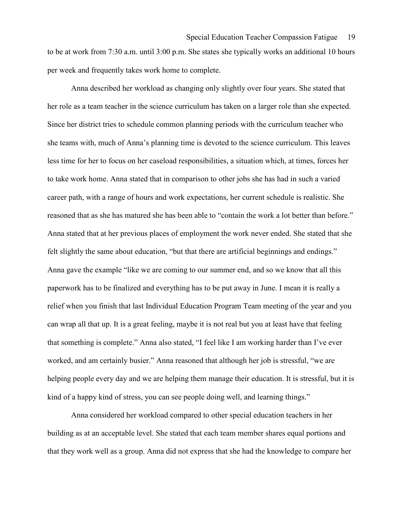to be at work from 7:30 a.m. until 3:00 p.m. She states she typically works an additional 10 hours per week and frequently takes work home to complete.

Anna described her workload as changing only slightly over four years. She stated that her role as a team teacher in the science curriculum has taken on a larger role than she expected. Since her district tries to schedule common planning periods with the curriculum teacher who she teams with, much of Anna's planning time is devoted to the science curriculum. This leaves less time for her to focus on her caseload responsibilities, a situation which, at times, forces her to take work home. Anna stated that in comparison to other jobs she has had in such a varied career path, with a range of hours and work expectations, her current schedule is realistic. She reasoned that as she has matured she has been able to "contain the work a lot better than before." Anna stated that at her previous places of employment the work never ended. She stated that she felt slightly the same about education, "but that there are artificial beginnings and endings." Anna gave the example "like we are coming to our summer end, and so we know that all this paperwork has to be finalized and everything has to be put away in June. I mean it is really a relief when you finish that last Individual Education Program Team meeting of the year and you can wrap all that up. It is a great feeling, maybe it is not real but you at least have that feeling that something is complete." Anna also stated, "I feel like I am working harder than I've ever worked, and am certainly busier." Anna reasoned that although her job is stressful, "we are helping people every day and we are helping them manage their education. It is stressful, but it is kind of a happy kind of stress, you can see people doing well, and learning things."

Anna considered her workload compared to other special education teachers in her building as at an acceptable level. She stated that each team member shares equal portions and that they work well as a group. Anna did not express that she had the knowledge to compare her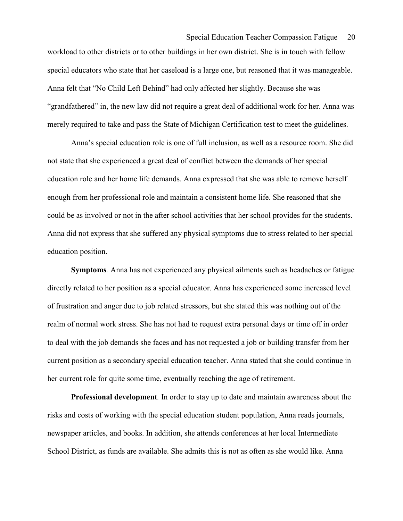## Special Education Teacher Compassion Fatigue 20

workload to other districts or to other buildings in her own district. She is in touch with fellow special educators who state that her caseload is a large one, but reasoned that it was manageable. Anna felt that "No Child Left Behind" had only affected her slightly. Because she was "grandfathered" in, the new law did not require a great deal of additional work for her. Anna was merely required to take and pass the State of Michigan Certification test to meet the guidelines.

Anna's special education role is one of full inclusion, as well as a resource room. She did not state that she experienced a great deal of conflict between the demands of her special education role and her home life demands. Anna expressed that she was able to remove herself enough from her professional role and maintain a consistent home life. She reasoned that she could be as involved or not in the after school activities that her school provides for the students. Anna did not express that she suffered any physical symptoms due to stress related to her special education position.

 Symptoms. Anna has not experienced any physical ailments such as headaches or fatigue directly related to her position as a special educator. Anna has experienced some increased level of frustration and anger due to job related stressors, but she stated this was nothing out of the realm of normal work stress. She has not had to request extra personal days or time off in order to deal with the job demands she faces and has not requested a job or building transfer from her current position as a secondary special education teacher. Anna stated that she could continue in her current role for quite some time, eventually reaching the age of retirement.

 Professional development. In order to stay up to date and maintain awareness about the risks and costs of working with the special education student population, Anna reads journals, newspaper articles, and books. In addition, she attends conferences at her local Intermediate School District, as funds are available. She admits this is not as often as she would like. Anna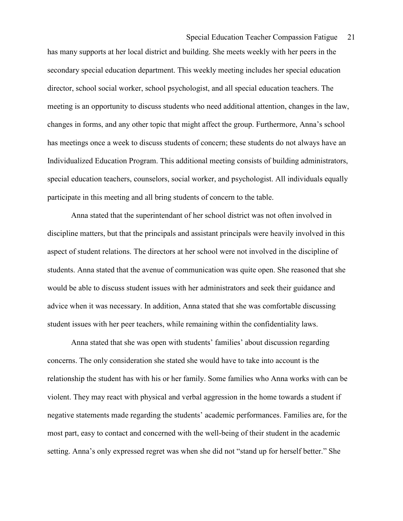## Special Education Teacher Compassion Fatigue 21

has many supports at her local district and building. She meets weekly with her peers in the secondary special education department. This weekly meeting includes her special education director, school social worker, school psychologist, and all special education teachers. The meeting is an opportunity to discuss students who need additional attention, changes in the law, changes in forms, and any other topic that might affect the group. Furthermore, Anna's school has meetings once a week to discuss students of concern; these students do not always have an Individualized Education Program. This additional meeting consists of building administrators, special education teachers, counselors, social worker, and psychologist. All individuals equally participate in this meeting and all bring students of concern to the table.

Anna stated that the superintendant of her school district was not often involved in discipline matters, but that the principals and assistant principals were heavily involved in this aspect of student relations. The directors at her school were not involved in the discipline of students. Anna stated that the avenue of communication was quite open. She reasoned that she would be able to discuss student issues with her administrators and seek their guidance and advice when it was necessary. In addition, Anna stated that she was comfortable discussing student issues with her peer teachers, while remaining within the confidentiality laws.

Anna stated that she was open with students' families' about discussion regarding concerns. The only consideration she stated she would have to take into account is the relationship the student has with his or her family. Some families who Anna works with can be violent. They may react with physical and verbal aggression in the home towards a student if negative statements made regarding the students' academic performances. Families are, for the most part, easy to contact and concerned with the well-being of their student in the academic setting. Anna's only expressed regret was when she did not "stand up for herself better." She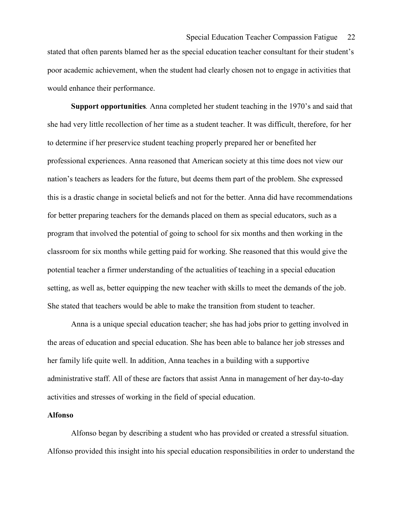stated that often parents blamed her as the special education teacher consultant for their student's poor academic achievement, when the student had clearly chosen not to engage in activities that would enhance their performance.

 Support opportunities. Anna completed her student teaching in the 1970's and said that she had very little recollection of her time as a student teacher. It was difficult, therefore, for her to determine if her preservice student teaching properly prepared her or benefited her professional experiences. Anna reasoned that American society at this time does not view our nation's teachers as leaders for the future, but deems them part of the problem. She expressed this is a drastic change in societal beliefs and not for the better. Anna did have recommendations for better preparing teachers for the demands placed on them as special educators, such as a program that involved the potential of going to school for six months and then working in the classroom for six months while getting paid for working. She reasoned that this would give the potential teacher a firmer understanding of the actualities of teaching in a special education setting, as well as, better equipping the new teacher with skills to meet the demands of the job. She stated that teachers would be able to make the transition from student to teacher.

Anna is a unique special education teacher; she has had jobs prior to getting involved in the areas of education and special education. She has been able to balance her job stresses and her family life quite well. In addition, Anna teaches in a building with a supportive administrative staff. All of these are factors that assist Anna in management of her day-to-day activities and stresses of working in the field of special education.

### Alfonso

 Alfonso began by describing a student who has provided or created a stressful situation. Alfonso provided this insight into his special education responsibilities in order to understand the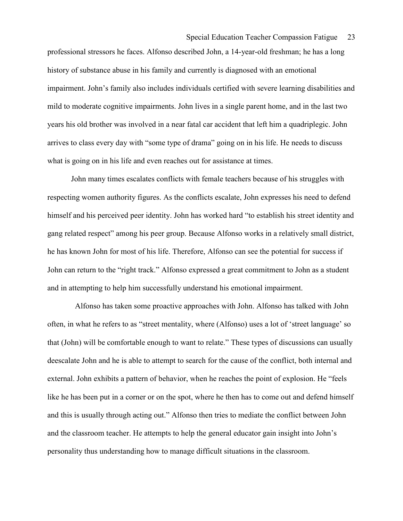professional stressors he faces. Alfonso described John, a 14-year-old freshman; he has a long history of substance abuse in his family and currently is diagnosed with an emotional impairment. John's family also includes individuals certified with severe learning disabilities and mild to moderate cognitive impairments. John lives in a single parent home, and in the last two years his old brother was involved in a near fatal car accident that left him a quadriplegic. John arrives to class every day with "some type of drama" going on in his life. He needs to discuss what is going on in his life and even reaches out for assistance at times.

John many times escalates conflicts with female teachers because of his struggles with respecting women authority figures. As the conflicts escalate, John expresses his need to defend himself and his perceived peer identity. John has worked hard "to establish his street identity and gang related respect" among his peer group. Because Alfonso works in a relatively small district, he has known John for most of his life. Therefore, Alfonso can see the potential for success if John can return to the "right track." Alfonso expressed a great commitment to John as a student and in attempting to help him successfully understand his emotional impairment.

 Alfonso has taken some proactive approaches with John. Alfonso has talked with John often, in what he refers to as "street mentality, where (Alfonso) uses a lot of 'street language' so that (John) will be comfortable enough to want to relate." These types of discussions can usually deescalate John and he is able to attempt to search for the cause of the conflict, both internal and external. John exhibits a pattern of behavior, when he reaches the point of explosion. He "feels like he has been put in a corner or on the spot, where he then has to come out and defend himself and this is usually through acting out." Alfonso then tries to mediate the conflict between John and the classroom teacher. He attempts to help the general educator gain insight into John's personality thus understanding how to manage difficult situations in the classroom.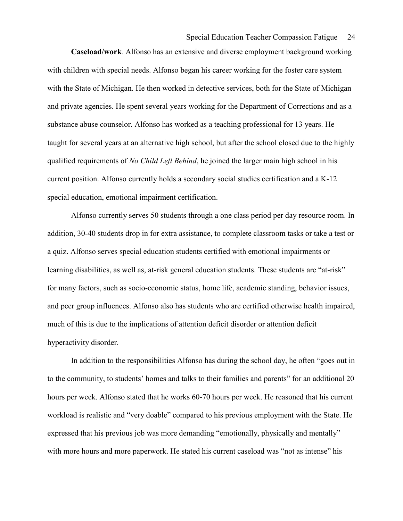Caseload/work. Alfonso has an extensive and diverse employment background working with children with special needs. Alfonso began his career working for the foster care system with the State of Michigan. He then worked in detective services, both for the State of Michigan and private agencies. He spent several years working for the Department of Corrections and as a substance abuse counselor. Alfonso has worked as a teaching professional for 13 years. He taught for several years at an alternative high school, but after the school closed due to the highly qualified requirements of No Child Left Behind, he joined the larger main high school in his current position. Alfonso currently holds a secondary social studies certification and a K-12 special education, emotional impairment certification.

 Alfonso currently serves 50 students through a one class period per day resource room. In addition, 30-40 students drop in for extra assistance, to complete classroom tasks or take a test or a quiz. Alfonso serves special education students certified with emotional impairments or learning disabilities, as well as, at-risk general education students. These students are "at-risk" for many factors, such as socio-economic status, home life, academic standing, behavior issues, and peer group influences. Alfonso also has students who are certified otherwise health impaired, much of this is due to the implications of attention deficit disorder or attention deficit hyperactivity disorder.

In addition to the responsibilities Alfonso has during the school day, he often "goes out in to the community, to students' homes and talks to their families and parents" for an additional 20 hours per week. Alfonso stated that he works 60-70 hours per week. He reasoned that his current workload is realistic and "very doable" compared to his previous employment with the State. He expressed that his previous job was more demanding "emotionally, physically and mentally" with more hours and more paperwork. He stated his current caseload was "not as intense" his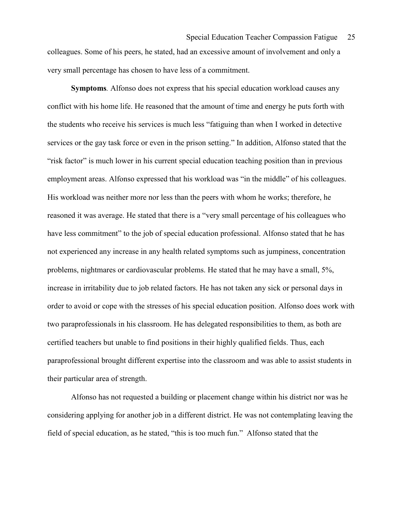colleagues. Some of his peers, he stated, had an excessive amount of involvement and only a very small percentage has chosen to have less of a commitment.

 Symptoms. Alfonso does not express that his special education workload causes any conflict with his home life. He reasoned that the amount of time and energy he puts forth with the students who receive his services is much less "fatiguing than when I worked in detective services or the gay task force or even in the prison setting." In addition, Alfonso stated that the "risk factor" is much lower in his current special education teaching position than in previous employment areas. Alfonso expressed that his workload was "in the middle" of his colleagues. His workload was neither more nor less than the peers with whom he works; therefore, he reasoned it was average. He stated that there is a "very small percentage of his colleagues who have less commitment" to the job of special education professional. Alfonso stated that he has not experienced any increase in any health related symptoms such as jumpiness, concentration problems, nightmares or cardiovascular problems. He stated that he may have a small, 5%, increase in irritability due to job related factors. He has not taken any sick or personal days in order to avoid or cope with the stresses of his special education position. Alfonso does work with two paraprofessionals in his classroom. He has delegated responsibilities to them, as both are certified teachers but unable to find positions in their highly qualified fields. Thus, each paraprofessional brought different expertise into the classroom and was able to assist students in their particular area of strength.

Alfonso has not requested a building or placement change within his district nor was he considering applying for another job in a different district. He was not contemplating leaving the field of special education, as he stated, "this is too much fun." Alfonso stated that the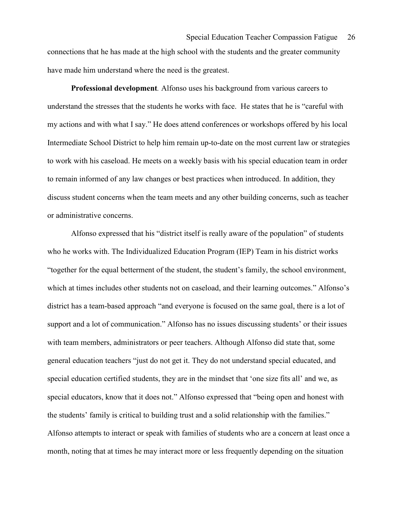connections that he has made at the high school with the students and the greater community have made him understand where the need is the greatest.

 Professional development. Alfonso uses his background from various careers to understand the stresses that the students he works with face. He states that he is "careful with my actions and with what I say." He does attend conferences or workshops offered by his local Intermediate School District to help him remain up-to-date on the most current law or strategies to work with his caseload. He meets on a weekly basis with his special education team in order to remain informed of any law changes or best practices when introduced. In addition, they discuss student concerns when the team meets and any other building concerns, such as teacher or administrative concerns.

Alfonso expressed that his "district itself is really aware of the population" of students who he works with. The Individualized Education Program (IEP) Team in his district works "together for the equal betterment of the student, the student's family, the school environment, which at times includes other students not on caseload, and their learning outcomes." Alfonso's district has a team-based approach "and everyone is focused on the same goal, there is a lot of support and a lot of communication." Alfonso has no issues discussing students' or their issues with team members, administrators or peer teachers. Although Alfonso did state that, some general education teachers "just do not get it. They do not understand special educated, and special education certified students, they are in the mindset that 'one size fits all' and we, as special educators, know that it does not." Alfonso expressed that "being open and honest with the students' family is critical to building trust and a solid relationship with the families." Alfonso attempts to interact or speak with families of students who are a concern at least once a month, noting that at times he may interact more or less frequently depending on the situation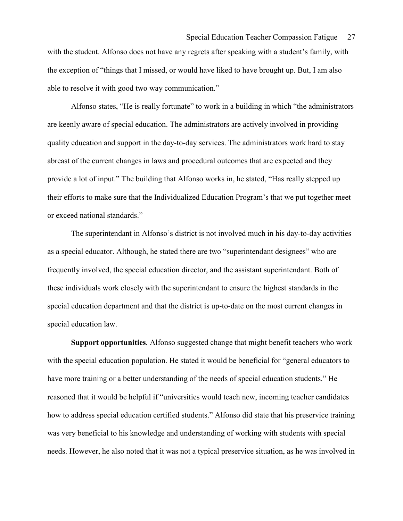with the student. Alfonso does not have any regrets after speaking with a student's family, with the exception of "things that I missed, or would have liked to have brought up. But, I am also able to resolve it with good two way communication."

Alfonso states, "He is really fortunate" to work in a building in which "the administrators are keenly aware of special education. The administrators are actively involved in providing quality education and support in the day-to-day services. The administrators work hard to stay abreast of the current changes in laws and procedural outcomes that are expected and they provide a lot of input." The building that Alfonso works in, he stated, "Has really stepped up their efforts to make sure that the Individualized Education Program's that we put together meet or exceed national standards."

The superintendant in Alfonso's district is not involved much in his day-to-day activities as a special educator. Although, he stated there are two "superintendant designees" who are frequently involved, the special education director, and the assistant superintendant. Both of these individuals work closely with the superintendant to ensure the highest standards in the special education department and that the district is up-to-date on the most current changes in special education law.

 Support opportunities. Alfonso suggested change that might benefit teachers who work with the special education population. He stated it would be beneficial for "general educators to have more training or a better understanding of the needs of special education students." He reasoned that it would be helpful if "universities would teach new, incoming teacher candidates how to address special education certified students." Alfonso did state that his preservice training was very beneficial to his knowledge and understanding of working with students with special needs. However, he also noted that it was not a typical preservice situation, as he was involved in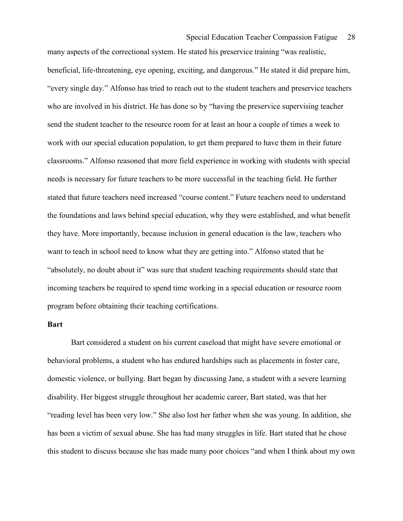many aspects of the correctional system. He stated his preservice training "was realistic, beneficial, life-threatening, eye opening, exciting, and dangerous." He stated it did prepare him, "every single day." Alfonso has tried to reach out to the student teachers and preservice teachers who are involved in his district. He has done so by "having the preservice supervising teacher send the student teacher to the resource room for at least an hour a couple of times a week to work with our special education population, to get them prepared to have them in their future classrooms." Alfonso reasoned that more field experience in working with students with special needs is necessary for future teachers to be more successful in the teaching field. He further stated that future teachers need increased "course content." Future teachers need to understand the foundations and laws behind special education, why they were established, and what benefit they have. More importantly, because inclusion in general education is the law, teachers who want to teach in school need to know what they are getting into." Alfonso stated that he "absolutely, no doubt about it" was sure that student teaching requirements should state that incoming teachers be required to spend time working in a special education or resource room program before obtaining their teaching certifications.

### Bart

 Bart considered a student on his current caseload that might have severe emotional or behavioral problems, a student who has endured hardships such as placements in foster care, domestic violence, or bullying. Bart began by discussing Jane, a student with a severe learning disability. Her biggest struggle throughout her academic career, Bart stated, was that her "reading level has been very low." She also lost her father when she was young. In addition, she has been a victim of sexual abuse. She has had many struggles in life. Bart stated that he chose this student to discuss because she has made many poor choices "and when I think about my own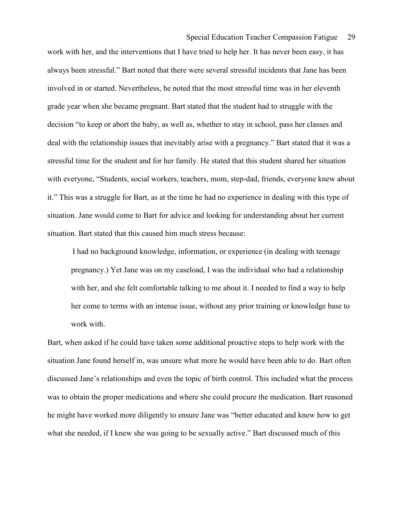work with her, and the interventions that I have tried to help her. It has never been easy, it has always been stressful." Bart noted that there were several stressful incidents that Jane has been involved in or started. Nevertheless, he noted that the most stressful time was in her eleventh grade year when she became pregnant. Bart stated that the student had to struggle with the decision "to keep or abort the baby, as well as, whether to stay in school, pass her classes and deal with the relationship issues that inevitably arise with a pregnancy." Bart stated that it was a stressful time for the student and for her family. He stated that this student shared her situation with everyone, "Students, social workers, teachers, mom, step-dad, friends, everyone knew about it." This was a struggle for Bart, as at the time he had no experience in dealing with this type of situation. Jane would come to Bart for advice and looking for understanding about her current situation. Bart stated that this caused him much stress because:

I had no background knowledge, information, or experience (in dealing with teenage pregnancy.) Yet Jane was on my caseload, I was the individual who had a relationship with her, and she felt comfortable talking to me about it. I needed to find a way to help her come to terms with an intense issue, without any prior training or knowledge base to work with.

Bart, when asked if he could have taken some additional proactive steps to help work with the situation Jane found herself in, was unsure what more he would have been able to do. Bart often discussed Jane's relationships and even the topic of birth control. This included what the process was to obtain the proper medications and where she could procure the medication. Bart reasoned he might have worked more diligently to ensure Jane was "better educated and knew how to get what she needed, if I knew she was going to be sexually active." Bart discussed much of this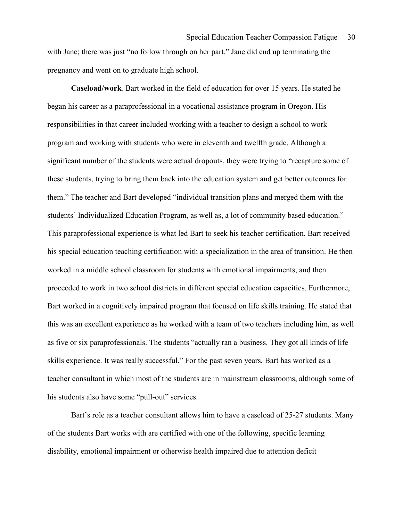with Jane; there was just "no follow through on her part." Jane did end up terminating the pregnancy and went on to graduate high school.

 Caseload/work. Bart worked in the field of education for over 15 years. He stated he began his career as a paraprofessional in a vocational assistance program in Oregon. His responsibilities in that career included working with a teacher to design a school to work program and working with students who were in eleventh and twelfth grade. Although a significant number of the students were actual dropouts, they were trying to "recapture some of these students, trying to bring them back into the education system and get better outcomes for them." The teacher and Bart developed "individual transition plans and merged them with the students' Individualized Education Program, as well as, a lot of community based education." This paraprofessional experience is what led Bart to seek his teacher certification. Bart received his special education teaching certification with a specialization in the area of transition. He then worked in a middle school classroom for students with emotional impairments, and then proceeded to work in two school districts in different special education capacities. Furthermore, Bart worked in a cognitively impaired program that focused on life skills training. He stated that this was an excellent experience as he worked with a team of two teachers including him, as well as five or six paraprofessionals. The students "actually ran a business. They got all kinds of life skills experience. It was really successful." For the past seven years, Bart has worked as a teacher consultant in which most of the students are in mainstream classrooms, although some of his students also have some "pull-out" services.

 Bart's role as a teacher consultant allows him to have a caseload of 25-27 students. Many of the students Bart works with are certified with one of the following, specific learning disability, emotional impairment or otherwise health impaired due to attention deficit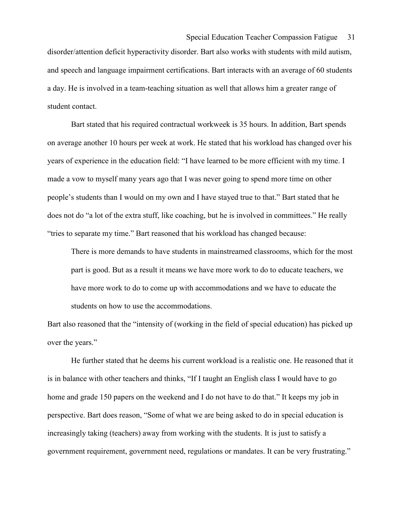disorder/attention deficit hyperactivity disorder. Bart also works with students with mild autism, and speech and language impairment certifications. Bart interacts with an average of 60 students a day. He is involved in a team-teaching situation as well that allows him a greater range of student contact.

 Bart stated that his required contractual workweek is 35 hours. In addition, Bart spends on average another 10 hours per week at work. He stated that his workload has changed over his years of experience in the education field: "I have learned to be more efficient with my time. I made a vow to myself many years ago that I was never going to spend more time on other people's students than I would on my own and I have stayed true to that." Bart stated that he does not do "a lot of the extra stuff, like coaching, but he is involved in committees." He really "tries to separate my time." Bart reasoned that his workload has changed because:

There is more demands to have students in mainstreamed classrooms, which for the most part is good. But as a result it means we have more work to do to educate teachers, we have more work to do to come up with accommodations and we have to educate the students on how to use the accommodations.

Bart also reasoned that the "intensity of (working in the field of special education) has picked up over the years."

 He further stated that he deems his current workload is a realistic one. He reasoned that it is in balance with other teachers and thinks, "If I taught an English class I would have to go home and grade 150 papers on the weekend and I do not have to do that." It keeps my job in perspective. Bart does reason, "Some of what we are being asked to do in special education is increasingly taking (teachers) away from working with the students. It is just to satisfy a government requirement, government need, regulations or mandates. It can be very frustrating."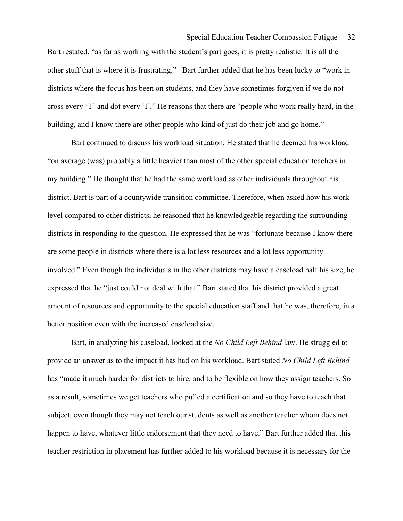## Special Education Teacher Compassion Fatigue 32

Bart restated, "as far as working with the student's part goes, it is pretty realistic. It is all the other stuff that is where it is frustrating." Bart further added that he has been lucky to "work in districts where the focus has been on students, and they have sometimes forgiven if we do not cross every 'T' and dot every 'I'." He reasons that there are "people who work really hard, in the building, and I know there are other people who kind of just do their job and go home."

 Bart continued to discuss his workload situation. He stated that he deemed his workload "on average (was) probably a little heavier than most of the other special education teachers in my building." He thought that he had the same workload as other individuals throughout his district. Bart is part of a countywide transition committee. Therefore, when asked how his work level compared to other districts, he reasoned that he knowledgeable regarding the surrounding districts in responding to the question. He expressed that he was "fortunate because I know there are some people in districts where there is a lot less resources and a lot less opportunity involved." Even though the individuals in the other districts may have a caseload half his size, he expressed that he "just could not deal with that." Bart stated that his district provided a great amount of resources and opportunity to the special education staff and that he was, therefore, in a better position even with the increased caseload size.

Bart, in analyzing his caseload, looked at the No Child Left Behind law. He struggled to provide an answer as to the impact it has had on his workload. Bart stated No Child Left Behind has "made it much harder for districts to hire, and to be flexible on how they assign teachers. So as a result, sometimes we get teachers who pulled a certification and so they have to teach that subject, even though they may not teach our students as well as another teacher whom does not happen to have, whatever little endorsement that they need to have." Bart further added that this teacher restriction in placement has further added to his workload because it is necessary for the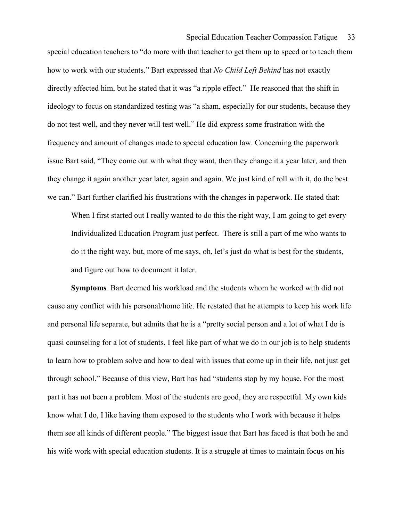special education teachers to "do more with that teacher to get them up to speed or to teach them how to work with our students." Bart expressed that No Child Left Behind has not exactly directly affected him, but he stated that it was "a ripple effect." He reasoned that the shift in ideology to focus on standardized testing was "a sham, especially for our students, because they do not test well, and they never will test well." He did express some frustration with the frequency and amount of changes made to special education law. Concerning the paperwork issue Bart said, "They come out with what they want, then they change it a year later, and then they change it again another year later, again and again. We just kind of roll with it, do the best we can." Bart further clarified his frustrations with the changes in paperwork. He stated that:

When I first started out I really wanted to do this the right way, I am going to get every Individualized Education Program just perfect. There is still a part of me who wants to do it the right way, but, more of me says, oh, let's just do what is best for the students, and figure out how to document it later.

 Symptoms. Bart deemed his workload and the students whom he worked with did not cause any conflict with his personal/home life. He restated that he attempts to keep his work life and personal life separate, but admits that he is a "pretty social person and a lot of what I do is quasi counseling for a lot of students. I feel like part of what we do in our job is to help students to learn how to problem solve and how to deal with issues that come up in their life, not just get through school." Because of this view, Bart has had "students stop by my house. For the most part it has not been a problem. Most of the students are good, they are respectful. My own kids know what I do, I like having them exposed to the students who I work with because it helps them see all kinds of different people." The biggest issue that Bart has faced is that both he and his wife work with special education students. It is a struggle at times to maintain focus on his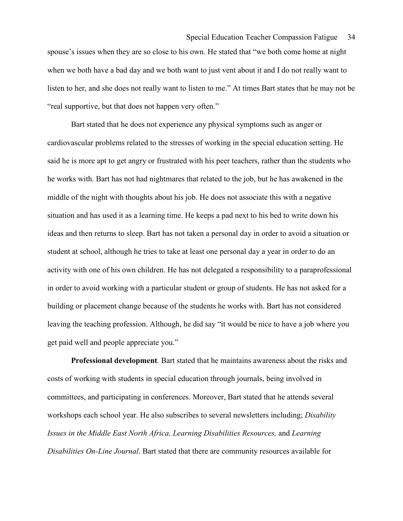# Special Education Teacher Compassion Fatigue 34

spouse's issues when they are so close to his own. He stated that "we both come home at night when we both have a bad day and we both want to just vent about it and I do not really want to listen to her, and she does not really want to listen to me." At times Bart states that he may not be "real supportive, but that does not happen very often."

 Bart stated that he does not experience any physical symptoms such as anger or cardiovascular problems related to the stresses of working in the special education setting. He said he is more apt to get angry or frustrated with his peer teachers, rather than the students who he works with. Bart has not had nightmares that related to the job, but he has awakened in the middle of the night with thoughts about his job. He does not associate this with a negative situation and has used it as a learning time. He keeps a pad next to his bed to write down his ideas and then returns to sleep. Bart has not taken a personal day in order to avoid a situation or student at school, although he tries to take at least one personal day a year in order to do an activity with one of his own children. He has not delegated a responsibility to a paraprofessional in order to avoid working with a particular student or group of students. He has not asked for a building or placement change because of the students he works with. Bart has not considered leaving the teaching profession. Although, he did say "it would be nice to have a job where you get paid well and people appreciate you."

 Professional development. Bart stated that he maintains awareness about the risks and costs of working with students in special education through journals, being involved in committees, and participating in conferences. Moreover, Bart stated that he attends several workshops each school year. He also subscribes to several newsletters including; *Disability* Issues in the Middle East North Africa, Learning Disabilities Resources, and Learning Disabilities On-Line Journal. Bart stated that there are community resources available for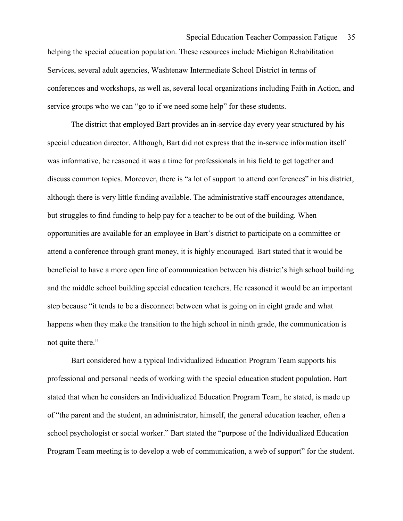helping the special education population. These resources include Michigan Rehabilitation Services, several adult agencies, Washtenaw Intermediate School District in terms of conferences and workshops, as well as, several local organizations including Faith in Action, and service groups who we can "go to if we need some help" for these students.

 The district that employed Bart provides an in-service day every year structured by his special education director. Although, Bart did not express that the in-service information itself was informative, he reasoned it was a time for professionals in his field to get together and discuss common topics. Moreover, there is "a lot of support to attend conferences" in his district, although there is very little funding available. The administrative staff encourages attendance, but struggles to find funding to help pay for a teacher to be out of the building. When opportunities are available for an employee in Bart's district to participate on a committee or attend a conference through grant money, it is highly encouraged. Bart stated that it would be beneficial to have a more open line of communication between his district's high school building and the middle school building special education teachers. He reasoned it would be an important step because "it tends to be a disconnect between what is going on in eight grade and what happens when they make the transition to the high school in ninth grade, the communication is not quite there."

 Bart considered how a typical Individualized Education Program Team supports his professional and personal needs of working with the special education student population. Bart stated that when he considers an Individualized Education Program Team, he stated, is made up of "the parent and the student, an administrator, himself, the general education teacher, often a school psychologist or social worker." Bart stated the "purpose of the Individualized Education Program Team meeting is to develop a web of communication, a web of support" for the student.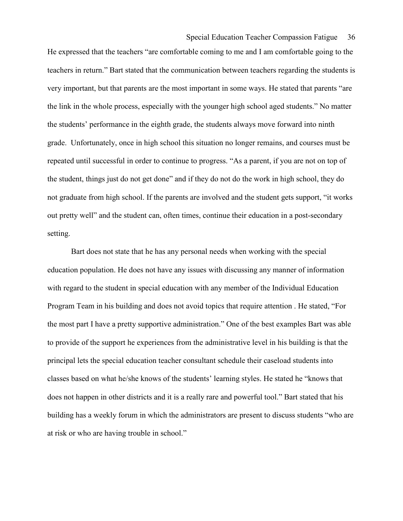## Special Education Teacher Compassion Fatigue 36

He expressed that the teachers "are comfortable coming to me and I am comfortable going to the teachers in return." Bart stated that the communication between teachers regarding the students is very important, but that parents are the most important in some ways. He stated that parents "are the link in the whole process, especially with the younger high school aged students." No matter the students' performance in the eighth grade, the students always move forward into ninth grade. Unfortunately, once in high school this situation no longer remains, and courses must be repeated until successful in order to continue to progress. "As a parent, if you are not on top of the student, things just do not get done" and if they do not do the work in high school, they do not graduate from high school. If the parents are involved and the student gets support, "it works out pretty well" and the student can, often times, continue their education in a post-secondary setting.

Bart does not state that he has any personal needs when working with the special education population. He does not have any issues with discussing any manner of information with regard to the student in special education with any member of the Individual Education Program Team in his building and does not avoid topics that require attention . He stated, "For the most part I have a pretty supportive administration." One of the best examples Bart was able to provide of the support he experiences from the administrative level in his building is that the principal lets the special education teacher consultant schedule their caseload students into classes based on what he/she knows of the students' learning styles. He stated he "knows that does not happen in other districts and it is a really rare and powerful tool." Bart stated that his building has a weekly forum in which the administrators are present to discuss students "who are at risk or who are having trouble in school."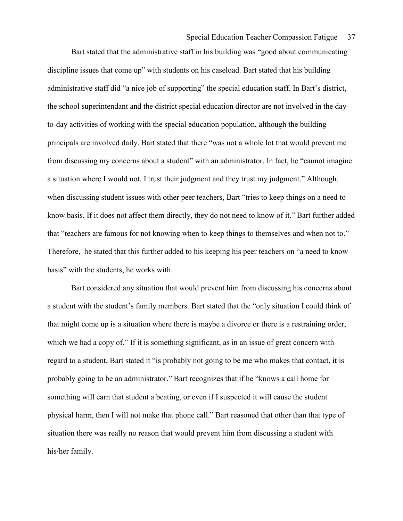Bart stated that the administrative staff in his building was "good about communicating discipline issues that come up" with students on his caseload. Bart stated that his building administrative staff did "a nice job of supporting" the special education staff. In Bart's district, the school superintendant and the district special education director are not involved in the dayto-day activities of working with the special education population, although the building principals are involved daily. Bart stated that there "was not a whole lot that would prevent me from discussing my concerns about a student" with an administrator. In fact, he "cannot imagine a situation where I would not. I trust their judgment and they trust my judgment." Although, when discussing student issues with other peer teachers, Bart "tries to keep things on a need to know basis. If it does not affect them directly, they do not need to know of it." Bart further added that "teachers are famous for not knowing when to keep things to themselves and when not to." Therefore, he stated that this further added to his keeping his peer teachers on "a need to know basis" with the students, he works with.

Bart considered any situation that would prevent him from discussing his concerns about a student with the student's family members. Bart stated that the "only situation I could think of that might come up is a situation where there is maybe a divorce or there is a restraining order, which we had a copy of." If it is something significant, as in an issue of great concern with regard to a student, Bart stated it "is probably not going to be me who makes that contact, it is probably going to be an administrator." Bart recognizes that if he "knows a call home for something will earn that student a beating, or even if I suspected it will cause the student physical harm, then I will not make that phone call." Bart reasoned that other than that type of situation there was really no reason that would prevent him from discussing a student with his/her family.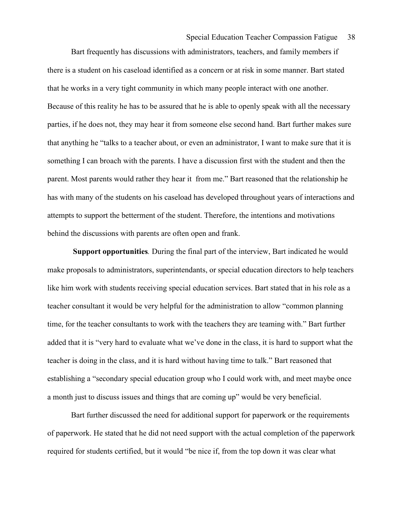Bart frequently has discussions with administrators, teachers, and family members if there is a student on his caseload identified as a concern or at risk in some manner. Bart stated that he works in a very tight community in which many people interact with one another. Because of this reality he has to be assured that he is able to openly speak with all the necessary parties, if he does not, they may hear it from someone else second hand. Bart further makes sure that anything he "talks to a teacher about, or even an administrator, I want to make sure that it is something I can broach with the parents. I have a discussion first with the student and then the parent. Most parents would rather they hear it from me." Bart reasoned that the relationship he has with many of the students on his caseload has developed throughout years of interactions and attempts to support the betterment of the student. Therefore, the intentions and motivations behind the discussions with parents are often open and frank.

 Support opportunities. During the final part of the interview, Bart indicated he would make proposals to administrators, superintendants, or special education directors to help teachers like him work with students receiving special education services. Bart stated that in his role as a teacher consultant it would be very helpful for the administration to allow "common planning time, for the teacher consultants to work with the teachers they are teaming with." Bart further added that it is "very hard to evaluate what we've done in the class, it is hard to support what the teacher is doing in the class, and it is hard without having time to talk." Bart reasoned that establishing a "secondary special education group who I could work with, and meet maybe once a month just to discuss issues and things that are coming up" would be very beneficial.

 Bart further discussed the need for additional support for paperwork or the requirements of paperwork. He stated that he did not need support with the actual completion of the paperwork required for students certified, but it would "be nice if, from the top down it was clear what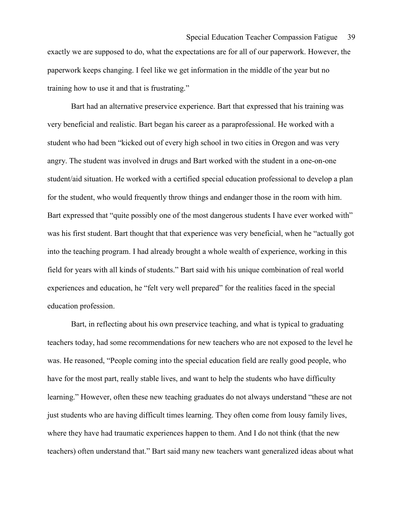exactly we are supposed to do, what the expectations are for all of our paperwork. However, the paperwork keeps changing. I feel like we get information in the middle of the year but no training how to use it and that is frustrating."

 Bart had an alternative preservice experience. Bart that expressed that his training was very beneficial and realistic. Bart began his career as a paraprofessional. He worked with a student who had been "kicked out of every high school in two cities in Oregon and was very angry. The student was involved in drugs and Bart worked with the student in a one-on-one student/aid situation. He worked with a certified special education professional to develop a plan for the student, who would frequently throw things and endanger those in the room with him. Bart expressed that "quite possibly one of the most dangerous students I have ever worked with" was his first student. Bart thought that that experience was very beneficial, when he "actually got into the teaching program. I had already brought a whole wealth of experience, working in this field for years with all kinds of students." Bart said with his unique combination of real world experiences and education, he "felt very well prepared" for the realities faced in the special education profession.

 Bart, in reflecting about his own preservice teaching, and what is typical to graduating teachers today, had some recommendations for new teachers who are not exposed to the level he was. He reasoned, "People coming into the special education field are really good people, who have for the most part, really stable lives, and want to help the students who have difficulty learning." However, often these new teaching graduates do not always understand "these are not just students who are having difficult times learning. They often come from lousy family lives, where they have had traumatic experiences happen to them. And I do not think (that the new teachers) often understand that." Bart said many new teachers want generalized ideas about what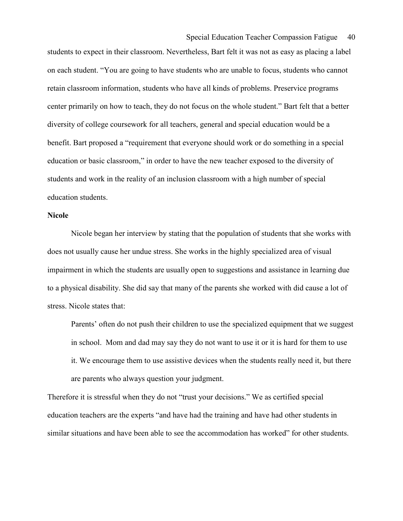Special Education Teacher Compassion Fatigue 40

students to expect in their classroom. Nevertheless, Bart felt it was not as easy as placing a label on each student. "You are going to have students who are unable to focus, students who cannot retain classroom information, students who have all kinds of problems. Preservice programs center primarily on how to teach, they do not focus on the whole student." Bart felt that a better diversity of college coursework for all teachers, general and special education would be a benefit. Bart proposed a "requirement that everyone should work or do something in a special education or basic classroom," in order to have the new teacher exposed to the diversity of students and work in the reality of an inclusion classroom with a high number of special education students.

### Nicole

 Nicole began her interview by stating that the population of students that she works with does not usually cause her undue stress. She works in the highly specialized area of visual impairment in which the students are usually open to suggestions and assistance in learning due to a physical disability. She did say that many of the parents she worked with did cause a lot of stress. Nicole states that:

Parents' often do not push their children to use the specialized equipment that we suggest in school. Mom and dad may say they do not want to use it or it is hard for them to use it. We encourage them to use assistive devices when the students really need it, but there are parents who always question your judgment.

Therefore it is stressful when they do not "trust your decisions." We as certified special education teachers are the experts "and have had the training and have had other students in similar situations and have been able to see the accommodation has worked" for other students.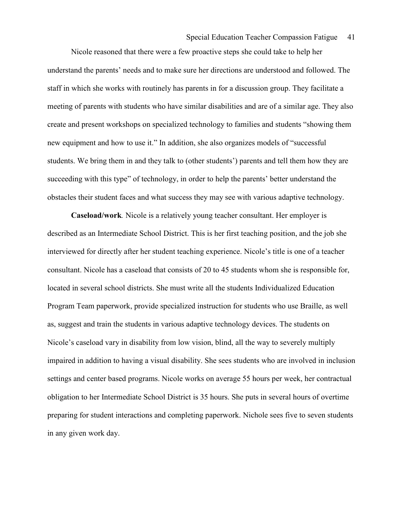Nicole reasoned that there were a few proactive steps she could take to help her understand the parents' needs and to make sure her directions are understood and followed. The staff in which she works with routinely has parents in for a discussion group. They facilitate a meeting of parents with students who have similar disabilities and are of a similar age. They also create and present workshops on specialized technology to families and students "showing them new equipment and how to use it." In addition, she also organizes models of "successful students. We bring them in and they talk to (other students') parents and tell them how they are succeeding with this type" of technology, in order to help the parents' better understand the obstacles their student faces and what success they may see with various adaptive technology.

 Caseload/work. Nicole is a relatively young teacher consultant. Her employer is described as an Intermediate School District. This is her first teaching position, and the job she interviewed for directly after her student teaching experience. Nicole's title is one of a teacher consultant. Nicole has a caseload that consists of 20 to 45 students whom she is responsible for, located in several school districts. She must write all the students Individualized Education Program Team paperwork, provide specialized instruction for students who use Braille, as well as, suggest and train the students in various adaptive technology devices. The students on Nicole's caseload vary in disability from low vision, blind, all the way to severely multiply impaired in addition to having a visual disability. She sees students who are involved in inclusion settings and center based programs. Nicole works on average 55 hours per week, her contractual obligation to her Intermediate School District is 35 hours. She puts in several hours of overtime preparing for student interactions and completing paperwork. Nichole sees five to seven students in any given work day.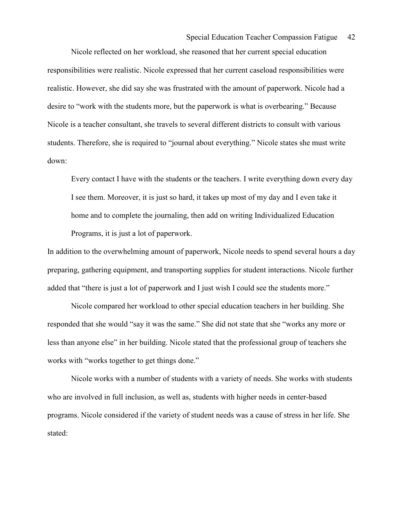## Special Education Teacher Compassion Fatigue 42

 Nicole reflected on her workload, she reasoned that her current special education responsibilities were realistic. Nicole expressed that her current caseload responsibilities were realistic. However, she did say she was frustrated with the amount of paperwork. Nicole had a desire to "work with the students more, but the paperwork is what is overbearing." Because Nicole is a teacher consultant, she travels to several different districts to consult with various students. Therefore, she is required to "journal about everything." Nicole states she must write down:

Every contact I have with the students or the teachers. I write everything down every day I see them. Moreover, it is just so hard, it takes up most of my day and I even take it home and to complete the journaling, then add on writing Individualized Education Programs, it is just a lot of paperwork.

In addition to the overwhelming amount of paperwork, Nicole needs to spend several hours a day preparing, gathering equipment, and transporting supplies for student interactions. Nicole further added that "there is just a lot of paperwork and I just wish I could see the students more."

 Nicole compared her workload to other special education teachers in her building. She responded that she would "say it was the same." She did not state that she "works any more or less than anyone else" in her building. Nicole stated that the professional group of teachers she works with "works together to get things done."

Nicole works with a number of students with a variety of needs. She works with students who are involved in full inclusion, as well as, students with higher needs in center-based programs. Nicole considered if the variety of student needs was a cause of stress in her life. She stated: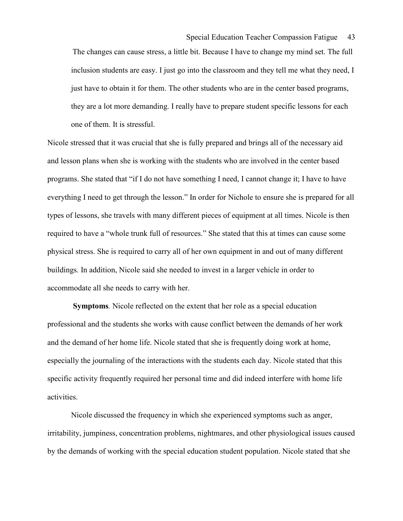The changes can cause stress, a little bit. Because I have to change my mind set. The full inclusion students are easy. I just go into the classroom and they tell me what they need, I just have to obtain it for them. The other students who are in the center based programs, they are a lot more demanding. I really have to prepare student specific lessons for each one of them. It is stressful.

Nicole stressed that it was crucial that she is fully prepared and brings all of the necessary aid and lesson plans when she is working with the students who are involved in the center based programs. She stated that "if I do not have something I need, I cannot change it; I have to have everything I need to get through the lesson." In order for Nichole to ensure she is prepared for all types of lessons, she travels with many different pieces of equipment at all times. Nicole is then required to have a "whole trunk full of resources." She stated that this at times can cause some physical stress. She is required to carry all of her own equipment in and out of many different buildings. In addition, Nicole said she needed to invest in a larger vehicle in order to accommodate all she needs to carry with her.

 Symptoms. Nicole reflected on the extent that her role as a special education professional and the students she works with cause conflict between the demands of her work and the demand of her home life. Nicole stated that she is frequently doing work at home, especially the journaling of the interactions with the students each day. Nicole stated that this specific activity frequently required her personal time and did indeed interfere with home life activities.

Nicole discussed the frequency in which she experienced symptoms such as anger, irritability, jumpiness, concentration problems, nightmares, and other physiological issues caused by the demands of working with the special education student population. Nicole stated that she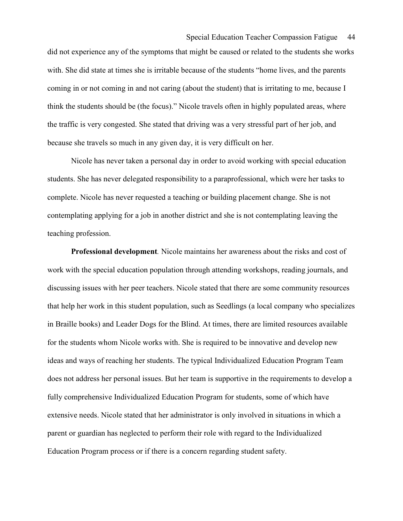did not experience any of the symptoms that might be caused or related to the students she works with. She did state at times she is irritable because of the students "home lives, and the parents coming in or not coming in and not caring (about the student) that is irritating to me, because I think the students should be (the focus)." Nicole travels often in highly populated areas, where the traffic is very congested. She stated that driving was a very stressful part of her job, and because she travels so much in any given day, it is very difficult on her.

Nicole has never taken a personal day in order to avoid working with special education students. She has never delegated responsibility to a paraprofessional, which were her tasks to complete. Nicole has never requested a teaching or building placement change. She is not contemplating applying for a job in another district and she is not contemplating leaving the teaching profession.

 Professional development. Nicole maintains her awareness about the risks and cost of work with the special education population through attending workshops, reading journals, and discussing issues with her peer teachers. Nicole stated that there are some community resources that help her work in this student population, such as Seedlings (a local company who specializes in Braille books) and Leader Dogs for the Blind. At times, there are limited resources available for the students whom Nicole works with. She is required to be innovative and develop new ideas and ways of reaching her students. The typical Individualized Education Program Team does not address her personal issues. But her team is supportive in the requirements to develop a fully comprehensive Individualized Education Program for students, some of which have extensive needs. Nicole stated that her administrator is only involved in situations in which a parent or guardian has neglected to perform their role with regard to the Individualized Education Program process or if there is a concern regarding student safety.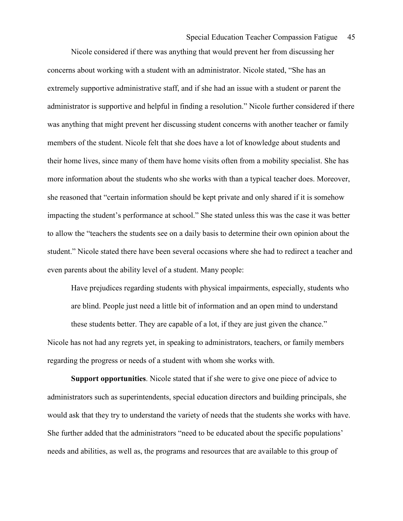Nicole considered if there was anything that would prevent her from discussing her concerns about working with a student with an administrator. Nicole stated, "She has an extremely supportive administrative staff, and if she had an issue with a student or parent the administrator is supportive and helpful in finding a resolution." Nicole further considered if there was anything that might prevent her discussing student concerns with another teacher or family members of the student. Nicole felt that she does have a lot of knowledge about students and their home lives, since many of them have home visits often from a mobility specialist. She has more information about the students who she works with than a typical teacher does. Moreover, she reasoned that "certain information should be kept private and only shared if it is somehow impacting the student's performance at school." She stated unless this was the case it was better to allow the "teachers the students see on a daily basis to determine their own opinion about the student." Nicole stated there have been several occasions where she had to redirect a teacher and even parents about the ability level of a student. Many people:

Have prejudices regarding students with physical impairments, especially, students who are blind. People just need a little bit of information and an open mind to understand these students better. They are capable of a lot, if they are just given the chance." Nicole has not had any regrets yet, in speaking to administrators, teachers, or family members regarding the progress or needs of a student with whom she works with.

 Support opportunities. Nicole stated that if she were to give one piece of advice to administrators such as superintendents, special education directors and building principals, she would ask that they try to understand the variety of needs that the students she works with have. She further added that the administrators "need to be educated about the specific populations' needs and abilities, as well as, the programs and resources that are available to this group of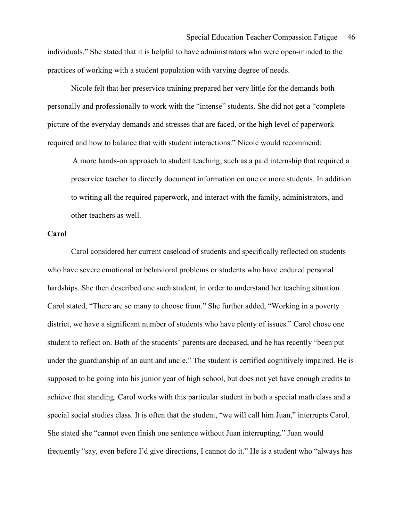practices of working with a student population with varying degree of needs.

Nicole felt that her preservice training prepared her very little for the demands both personally and professionally to work with the "intense" students. She did not get a "complete picture of the everyday demands and stresses that are faced, or the high level of paperwork required and how to balance that with student interactions." Nicole would recommend:

A more hands-on approach to student teaching; such as a paid internship that required a preservice teacher to directly document information on one or more students. In addition to writing all the required paperwork, and interact with the family, administrators, and other teachers as well.

#### Carol

 Carol considered her current caseload of students and specifically reflected on students who have severe emotional or behavioral problems or students who have endured personal hardships. She then described one such student, in order to understand her teaching situation. Carol stated, "There are so many to choose from." She further added, "Working in a poverty district, we have a significant number of students who have plenty of issues." Carol chose one student to reflect on. Both of the students' parents are deceased, and he has recently "been put under the guardianship of an aunt and uncle." The student is certified cognitively impaired. He is supposed to be going into his junior year of high school, but does not yet have enough credits to achieve that standing. Carol works with this particular student in both a special math class and a special social studies class. It is often that the student, "we will call him Juan," interrupts Carol. She stated she "cannot even finish one sentence without Juan interrupting." Juan would frequently "say, even before I'd give directions, I cannot do it." He is a student who "always has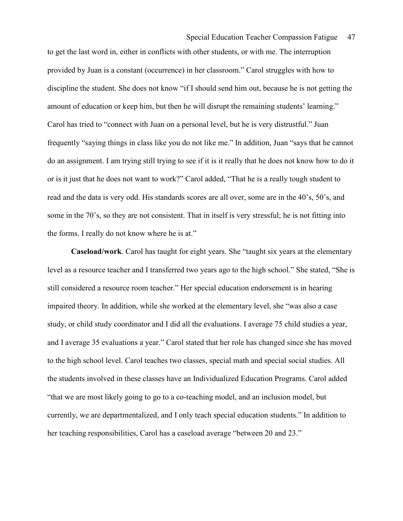to get the last word in, either in conflicts with other students, or with me. The interruption provided by Juan is a constant (occurrence) in her classroom." Carol struggles with how to discipline the student. She does not know "if I should send him out, because he is not getting the amount of education or keep him, but then he will disrupt the remaining students' learning." Carol has tried to "connect with Juan on a personal level, but he is very distrustful." Juan frequently "saying things in class like you do not like me." In addition, Juan "says that he cannot do an assignment. I am trying still trying to see if it is it really that he does not know how to do it or is it just that he does not want to work?" Carol added, "That he is a really tough student to read and the data is very odd. His standards scores are all over, some are in the 40's, 50's, and some in the 70's, so they are not consistent. That in itself is very stressful; he is not fitting into the forms. I really do not know where he is at."

 Caseload/work. Carol has taught for eight years. She "taught six years at the elementary level as a resource teacher and I transferred two years ago to the high school." She stated, "She is still considered a resource room teacher." Her special education endorsement is in hearing impaired theory. In addition, while she worked at the elementary level, she "was also a case study, or child study coordinator and I did all the evaluations. I average 75 child studies a year, and I average 35 evaluations a year." Carol stated that her role has changed since she has moved to the high school level. Carol teaches two classes, special math and special social studies. All the students involved in these classes have an Individualized Education Programs. Carol added "that we are most likely going to go to a co-teaching model, and an inclusion model, but currently, we are departmentalized, and I only teach special education students." In addition to her teaching responsibilities, Carol has a caseload average "between 20 and 23."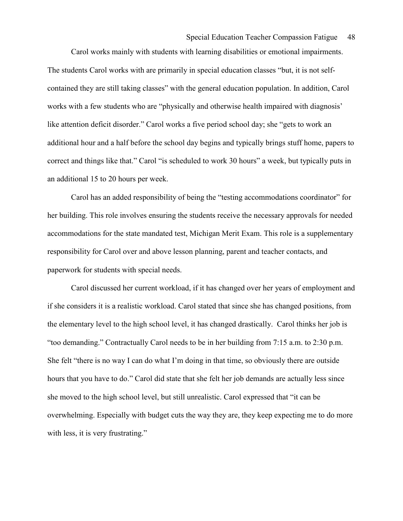Carol works mainly with students with learning disabilities or emotional impairments. The students Carol works with are primarily in special education classes "but, it is not selfcontained they are still taking classes" with the general education population. In addition, Carol works with a few students who are "physically and otherwise health impaired with diagnosis' like attention deficit disorder." Carol works a five period school day; she "gets to work an additional hour and a half before the school day begins and typically brings stuff home, papers to correct and things like that." Carol "is scheduled to work 30 hours" a week, but typically puts in an additional 15 to 20 hours per week.

 Carol has an added responsibility of being the "testing accommodations coordinator" for her building. This role involves ensuring the students receive the necessary approvals for needed accommodations for the state mandated test, Michigan Merit Exam. This role is a supplementary responsibility for Carol over and above lesson planning, parent and teacher contacts, and paperwork for students with special needs.

 Carol discussed her current workload, if it has changed over her years of employment and if she considers it is a realistic workload. Carol stated that since she has changed positions, from the elementary level to the high school level, it has changed drastically. Carol thinks her job is "too demanding." Contractually Carol needs to be in her building from 7:15 a.m. to 2:30 p.m. She felt "there is no way I can do what I'm doing in that time, so obviously there are outside hours that you have to do." Carol did state that she felt her job demands are actually less since she moved to the high school level, but still unrealistic. Carol expressed that "it can be overwhelming. Especially with budget cuts the way they are, they keep expecting me to do more with less, it is very frustrating."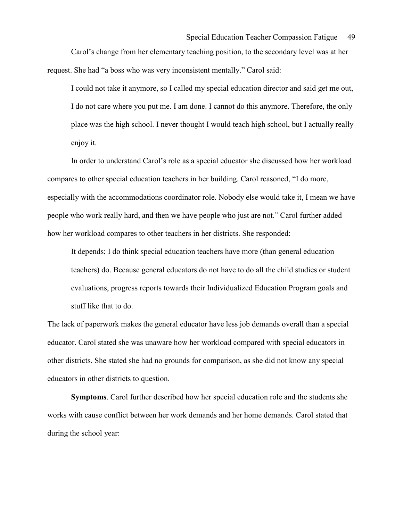Carol's change from her elementary teaching position, to the secondary level was at her request. She had "a boss who was very inconsistent mentally." Carol said:

I could not take it anymore, so I called my special education director and said get me out, I do not care where you put me. I am done. I cannot do this anymore. Therefore, the only place was the high school. I never thought I would teach high school, but I actually really enjoy it.

 In order to understand Carol's role as a special educator she discussed how her workload compares to other special education teachers in her building. Carol reasoned, "I do more, especially with the accommodations coordinator role. Nobody else would take it, I mean we have people who work really hard, and then we have people who just are not." Carol further added how her workload compares to other teachers in her districts. She responded:

It depends; I do think special education teachers have more (than general education teachers) do. Because general educators do not have to do all the child studies or student evaluations, progress reports towards their Individualized Education Program goals and stuff like that to do.

The lack of paperwork makes the general educator have less job demands overall than a special educator. Carol stated she was unaware how her workload compared with special educators in other districts. She stated she had no grounds for comparison, as she did not know any special educators in other districts to question.

 Symptoms. Carol further described how her special education role and the students she works with cause conflict between her work demands and her home demands. Carol stated that during the school year: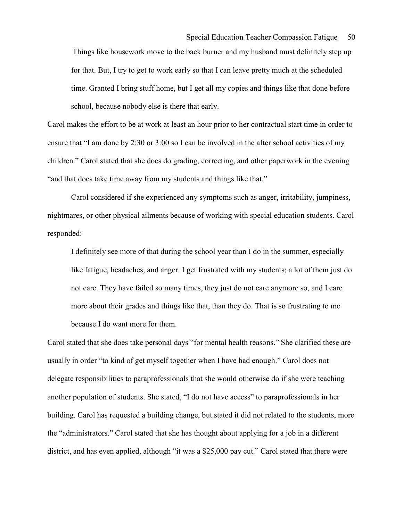Things like housework move to the back burner and my husband must definitely step up for that. But, I try to get to work early so that I can leave pretty much at the scheduled time. Granted I bring stuff home, but I get all my copies and things like that done before school, because nobody else is there that early.

Carol makes the effort to be at work at least an hour prior to her contractual start time in order to ensure that "I am done by 2:30 or 3:00 so I can be involved in the after school activities of my children." Carol stated that she does do grading, correcting, and other paperwork in the evening "and that does take time away from my students and things like that."

 Carol considered if she experienced any symptoms such as anger, irritability, jumpiness, nightmares, or other physical ailments because of working with special education students. Carol responded:

I definitely see more of that during the school year than I do in the summer, especially like fatigue, headaches, and anger. I get frustrated with my students; a lot of them just do not care. They have failed so many times, they just do not care anymore so, and I care more about their grades and things like that, than they do. That is so frustrating to me because I do want more for them.

Carol stated that she does take personal days "for mental health reasons." She clarified these are usually in order "to kind of get myself together when I have had enough." Carol does not delegate responsibilities to paraprofessionals that she would otherwise do if she were teaching another population of students. She stated, "I do not have access" to paraprofessionals in her building. Carol has requested a building change, but stated it did not related to the students, more the "administrators." Carol stated that she has thought about applying for a job in a different district, and has even applied, although "it was a \$25,000 pay cut." Carol stated that there were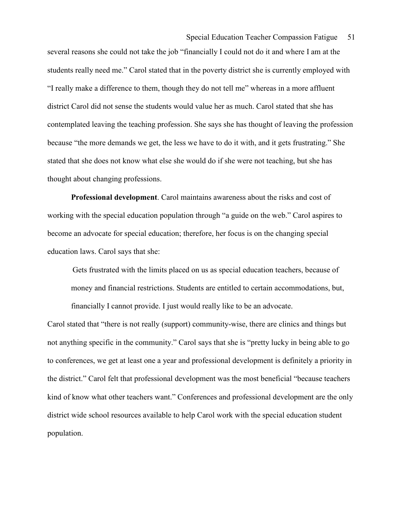several reasons she could not take the job "financially I could not do it and where I am at the students really need me." Carol stated that in the poverty district she is currently employed with "I really make a difference to them, though they do not tell me" whereas in a more affluent district Carol did not sense the students would value her as much. Carol stated that she has contemplated leaving the teaching profession. She says she has thought of leaving the profession because "the more demands we get, the less we have to do it with, and it gets frustrating." She stated that she does not know what else she would do if she were not teaching, but she has thought about changing professions.

 Professional development. Carol maintains awareness about the risks and cost of working with the special education population through "a guide on the web." Carol aspires to become an advocate for special education; therefore, her focus is on the changing special education laws. Carol says that she:

Gets frustrated with the limits placed on us as special education teachers, because of money and financial restrictions. Students are entitled to certain accommodations, but, financially I cannot provide. I just would really like to be an advocate.

Carol stated that "there is not really (support) community-wise, there are clinics and things but not anything specific in the community." Carol says that she is "pretty lucky in being able to go to conferences, we get at least one a year and professional development is definitely a priority in the district." Carol felt that professional development was the most beneficial "because teachers kind of know what other teachers want." Conferences and professional development are the only district wide school resources available to help Carol work with the special education student population.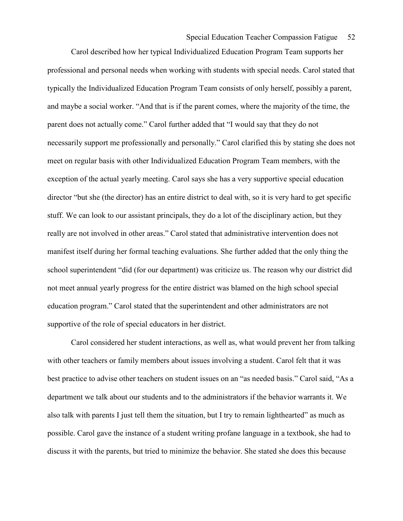Carol described how her typical Individualized Education Program Team supports her professional and personal needs when working with students with special needs. Carol stated that typically the Individualized Education Program Team consists of only herself, possibly a parent, and maybe a social worker. "And that is if the parent comes, where the majority of the time, the parent does not actually come." Carol further added that "I would say that they do not necessarily support me professionally and personally." Carol clarified this by stating she does not meet on regular basis with other Individualized Education Program Team members, with the exception of the actual yearly meeting. Carol says she has a very supportive special education director "but she (the director) has an entire district to deal with, so it is very hard to get specific stuff. We can look to our assistant principals, they do a lot of the disciplinary action, but they really are not involved in other areas." Carol stated that administrative intervention does not manifest itself during her formal teaching evaluations. She further added that the only thing the school superintendent "did (for our department) was criticize us. The reason why our district did not meet annual yearly progress for the entire district was blamed on the high school special education program." Carol stated that the superintendent and other administrators are not supportive of the role of special educators in her district.

 Carol considered her student interactions, as well as, what would prevent her from talking with other teachers or family members about issues involving a student. Carol felt that it was best practice to advise other teachers on student issues on an "as needed basis." Carol said, "As a department we talk about our students and to the administrators if the behavior warrants it. We also talk with parents I just tell them the situation, but I try to remain lighthearted" as much as possible. Carol gave the instance of a student writing profane language in a textbook, she had to discuss it with the parents, but tried to minimize the behavior. She stated she does this because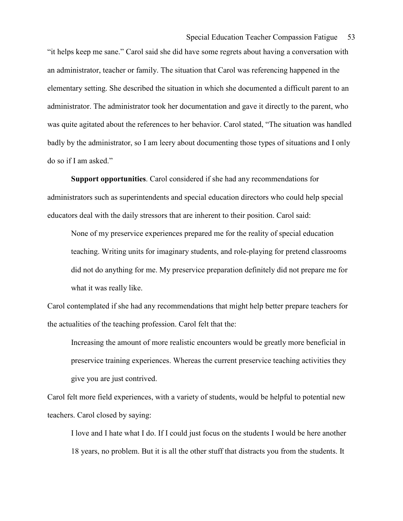"it helps keep me sane." Carol said she did have some regrets about having a conversation with an administrator, teacher or family. The situation that Carol was referencing happened in the elementary setting. She described the situation in which she documented a difficult parent to an administrator. The administrator took her documentation and gave it directly to the parent, who was quite agitated about the references to her behavior. Carol stated, "The situation was handled badly by the administrator, so I am leery about documenting those types of situations and I only do so if I am asked."

 Support opportunities. Carol considered if she had any recommendations for administrators such as superintendents and special education directors who could help special educators deal with the daily stressors that are inherent to their position. Carol said:

None of my preservice experiences prepared me for the reality of special education teaching. Writing units for imaginary students, and role-playing for pretend classrooms did not do anything for me. My preservice preparation definitely did not prepare me for what it was really like.

Carol contemplated if she had any recommendations that might help better prepare teachers for the actualities of the teaching profession. Carol felt that the:

Increasing the amount of more realistic encounters would be greatly more beneficial in preservice training experiences. Whereas the current preservice teaching activities they give you are just contrived.

Carol felt more field experiences, with a variety of students, would be helpful to potential new teachers. Carol closed by saying:

I love and I hate what I do. If I could just focus on the students I would be here another 18 years, no problem. But it is all the other stuff that distracts you from the students. It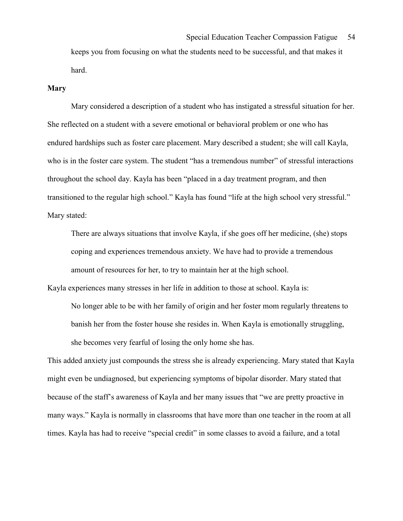keeps you from focusing on what the students need to be successful, and that makes it hard.

#### Mary

 Mary considered a description of a student who has instigated a stressful situation for her. She reflected on a student with a severe emotional or behavioral problem or one who has endured hardships such as foster care placement. Mary described a student; she will call Kayla, who is in the foster care system. The student "has a tremendous number" of stressful interactions throughout the school day. Kayla has been "placed in a day treatment program, and then transitioned to the regular high school." Kayla has found "life at the high school very stressful." Mary stated:

There are always situations that involve Kayla, if she goes off her medicine, (she) stops coping and experiences tremendous anxiety. We have had to provide a tremendous amount of resources for her, to try to maintain her at the high school.

Kayla experiences many stresses in her life in addition to those at school. Kayla is:

No longer able to be with her family of origin and her foster mom regularly threatens to banish her from the foster house she resides in. When Kayla is emotionally struggling, she becomes very fearful of losing the only home she has.

This added anxiety just compounds the stress she is already experiencing. Mary stated that Kayla might even be undiagnosed, but experiencing symptoms of bipolar disorder. Mary stated that because of the staff's awareness of Kayla and her many issues that "we are pretty proactive in many ways." Kayla is normally in classrooms that have more than one teacher in the room at all times. Kayla has had to receive "special credit" in some classes to avoid a failure, and a total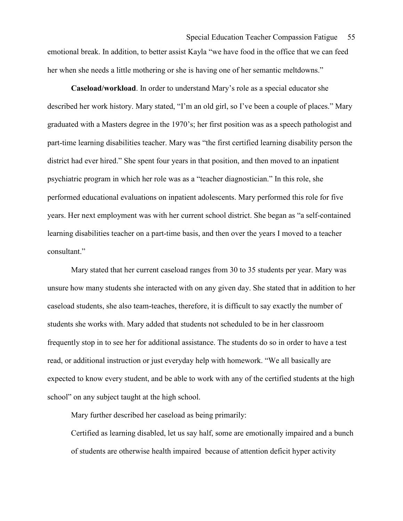emotional break. In addition, to better assist Kayla "we have food in the office that we can feed her when she needs a little mothering or she is having one of her semantic meltdowns."

 Caseload/workload. In order to understand Mary's role as a special educator she described her work history. Mary stated, "I'm an old girl, so I've been a couple of places." Mary graduated with a Masters degree in the 1970's; her first position was as a speech pathologist and part-time learning disabilities teacher. Mary was "the first certified learning disability person the district had ever hired." She spent four years in that position, and then moved to an inpatient psychiatric program in which her role was as a "teacher diagnostician." In this role, she performed educational evaluations on inpatient adolescents. Mary performed this role for five years. Her next employment was with her current school district. She began as "a self-contained learning disabilities teacher on a part-time basis, and then over the years I moved to a teacher consultant."

 Mary stated that her current caseload ranges from 30 to 35 students per year. Mary was unsure how many students she interacted with on any given day. She stated that in addition to her caseload students, she also team-teaches, therefore, it is difficult to say exactly the number of students she works with. Mary added that students not scheduled to be in her classroom frequently stop in to see her for additional assistance. The students do so in order to have a test read, or additional instruction or just everyday help with homework. "We all basically are expected to know every student, and be able to work with any of the certified students at the high school" on any subject taught at the high school.

Mary further described her caseload as being primarily:

Certified as learning disabled, let us say half, some are emotionally impaired and a bunch of students are otherwise health impaired because of attention deficit hyper activity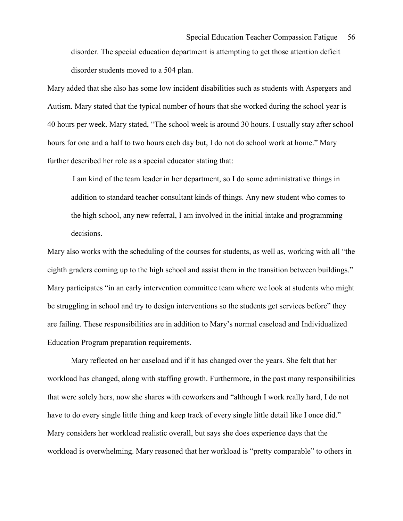disorder students moved to a 504 plan.

Mary added that she also has some low incident disabilities such as students with Aspergers and Autism. Mary stated that the typical number of hours that she worked during the school year is 40 hours per week. Mary stated, "The school week is around 30 hours. I usually stay after school hours for one and a half to two hours each day but, I do not do school work at home." Mary further described her role as a special educator stating that:

I am kind of the team leader in her department, so I do some administrative things in addition to standard teacher consultant kinds of things. Any new student who comes to the high school, any new referral, I am involved in the initial intake and programming decisions.

Mary also works with the scheduling of the courses for students, as well as, working with all "the eighth graders coming up to the high school and assist them in the transition between buildings." Mary participates "in an early intervention committee team where we look at students who might be struggling in school and try to design interventions so the students get services before" they are failing. These responsibilities are in addition to Mary's normal caseload and Individualized Education Program preparation requirements.

 Mary reflected on her caseload and if it has changed over the years. She felt that her workload has changed, along with staffing growth. Furthermore, in the past many responsibilities that were solely hers, now she shares with coworkers and "although I work really hard, I do not have to do every single little thing and keep track of every single little detail like I once did." Mary considers her workload realistic overall, but says she does experience days that the workload is overwhelming. Mary reasoned that her workload is "pretty comparable" to others in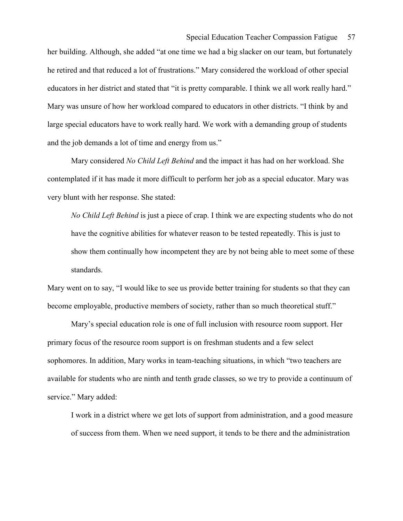her building. Although, she added "at one time we had a big slacker on our team, but fortunately he retired and that reduced a lot of frustrations." Mary considered the workload of other special educators in her district and stated that "it is pretty comparable. I think we all work really hard." Mary was unsure of how her workload compared to educators in other districts. "I think by and large special educators have to work really hard. We work with a demanding group of students and the job demands a lot of time and energy from us."

Mary considered *No Child Left Behind* and the impact it has had on her workload. She contemplated if it has made it more difficult to perform her job as a special educator. Mary was very blunt with her response. She stated:

No Child Left Behind is just a piece of crap. I think we are expecting students who do not have the cognitive abilities for whatever reason to be tested repeatedly. This is just to show them continually how incompetent they are by not being able to meet some of these standards.

Mary went on to say, "I would like to see us provide better training for students so that they can become employable, productive members of society, rather than so much theoretical stuff."

 Mary's special education role is one of full inclusion with resource room support. Her primary focus of the resource room support is on freshman students and a few select sophomores. In addition, Mary works in team-teaching situations, in which "two teachers are available for students who are ninth and tenth grade classes, so we try to provide a continuum of service." Mary added:

I work in a district where we get lots of support from administration, and a good measure of success from them. When we need support, it tends to be there and the administration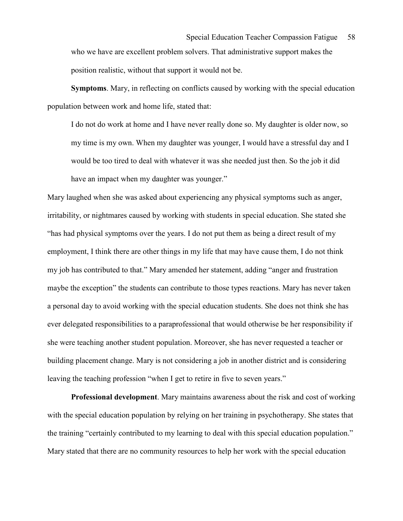Symptoms. Mary, in reflecting on conflicts caused by working with the special education population between work and home life, stated that:

I do not do work at home and I have never really done so. My daughter is older now, so my time is my own. When my daughter was younger, I would have a stressful day and I would be too tired to deal with whatever it was she needed just then. So the job it did have an impact when my daughter was younger."

Mary laughed when she was asked about experiencing any physical symptoms such as anger, irritability, or nightmares caused by working with students in special education. She stated she "has had physical symptoms over the years. I do not put them as being a direct result of my employment, I think there are other things in my life that may have cause them, I do not think my job has contributed to that." Mary amended her statement, adding "anger and frustration maybe the exception" the students can contribute to those types reactions. Mary has never taken a personal day to avoid working with the special education students. She does not think she has ever delegated responsibilities to a paraprofessional that would otherwise be her responsibility if she were teaching another student population. Moreover, she has never requested a teacher or building placement change. Mary is not considering a job in another district and is considering leaving the teaching profession "when I get to retire in five to seven years."

 Professional development. Mary maintains awareness about the risk and cost of working with the special education population by relying on her training in psychotherapy. She states that the training "certainly contributed to my learning to deal with this special education population." Mary stated that there are no community resources to help her work with the special education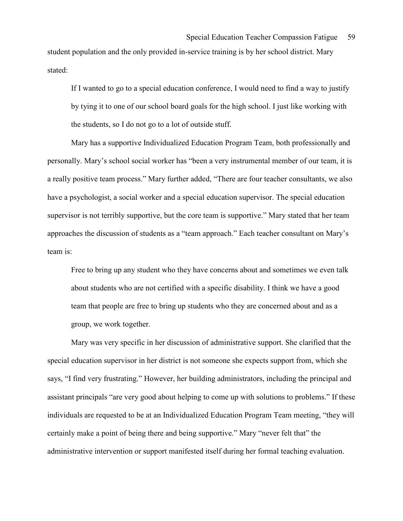student population and the only provided in-service training is by her school district. Mary stated:

If I wanted to go to a special education conference, I would need to find a way to justify by tying it to one of our school board goals for the high school. I just like working with the students, so I do not go to a lot of outside stuff.

 Mary has a supportive Individualized Education Program Team, both professionally and personally. Mary's school social worker has "been a very instrumental member of our team, it is a really positive team process." Mary further added, "There are four teacher consultants, we also have a psychologist, a social worker and a special education supervisor. The special education supervisor is not terribly supportive, but the core team is supportive." Mary stated that her team approaches the discussion of students as a "team approach." Each teacher consultant on Mary's team is:

Free to bring up any student who they have concerns about and sometimes we even talk about students who are not certified with a specific disability. I think we have a good team that people are free to bring up students who they are concerned about and as a group, we work together.

 Mary was very specific in her discussion of administrative support. She clarified that the special education supervisor in her district is not someone she expects support from, which she says, "I find very frustrating." However, her building administrators, including the principal and assistant principals "are very good about helping to come up with solutions to problems." If these individuals are requested to be at an Individualized Education Program Team meeting, "they will certainly make a point of being there and being supportive." Mary "never felt that" the administrative intervention or support manifested itself during her formal teaching evaluation.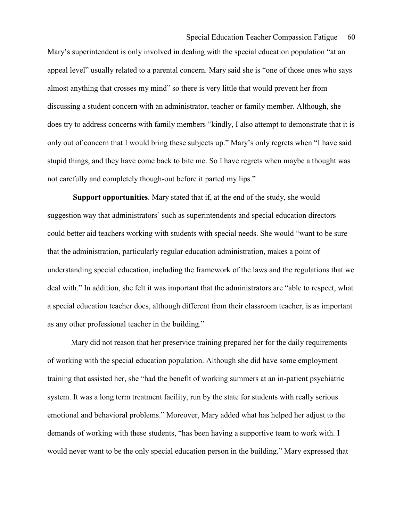Mary's superintendent is only involved in dealing with the special education population "at an appeal level" usually related to a parental concern. Mary said she is "one of those ones who says almost anything that crosses my mind" so there is very little that would prevent her from discussing a student concern with an administrator, teacher or family member. Although, she does try to address concerns with family members "kindly, I also attempt to demonstrate that it is only out of concern that I would bring these subjects up." Mary's only regrets when "I have said stupid things, and they have come back to bite me. So I have regrets when maybe a thought was not carefully and completely though-out before it parted my lips."

 Support opportunities. Mary stated that if, at the end of the study, she would suggestion way that administrators' such as superintendents and special education directors could better aid teachers working with students with special needs. She would "want to be sure that the administration, particularly regular education administration, makes a point of understanding special education, including the framework of the laws and the regulations that we deal with." In addition, she felt it was important that the administrators are "able to respect, what a special education teacher does, although different from their classroom teacher, is as important as any other professional teacher in the building."

 Mary did not reason that her preservice training prepared her for the daily requirements of working with the special education population. Although she did have some employment training that assisted her, she "had the benefit of working summers at an in-patient psychiatric system. It was a long term treatment facility, run by the state for students with really serious emotional and behavioral problems." Moreover, Mary added what has helped her adjust to the demands of working with these students, "has been having a supportive team to work with. I would never want to be the only special education person in the building." Mary expressed that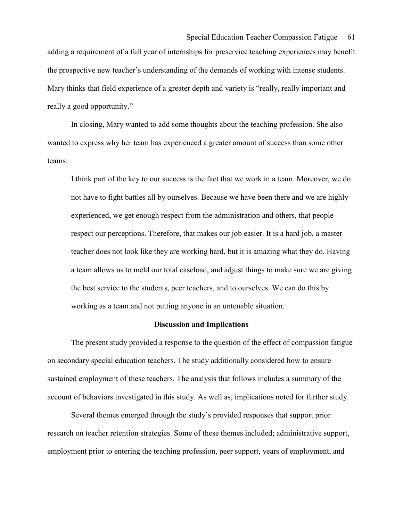adding a requirement of a full year of internships for preservice teaching experiences may benefit the prospective new teacher's understanding of the demands of working with intense students. Mary thinks that field experience of a greater depth and variety is "really, really important and really a good opportunity."

 In closing, Mary wanted to add some thoughts about the teaching profession. She also wanted to express why her team has experienced a greater amount of success than some other teams:

I think part of the key to our success is the fact that we work in a team. Moreover, we do not have to fight battles all by ourselves. Because we have been there and we are highly experienced, we get enough respect from the administration and others, that people respect our perceptions. Therefore, that makes our job easier. It is a hard job, a master teacher does not look like they are working hard, but it is amazing what they do. Having a team allows us to meld our total caseload, and adjust things to make sure we are giving the best service to the students, peer teachers, and to ourselves. We can do this by working as a team and not putting anyone in an untenable situation.

### Discussion and Implications

 The present study provided a response to the question of the effect of compassion fatigue on secondary special education teachers. The study additionally considered how to ensure sustained employment of these teachers. The analysis that follows includes a summary of the account of behaviors investigated in this study. As well as, implications noted for further study.

Several themes emerged through the study's provided responses that support prior research on teacher retention strategies. Some of these themes included; administrative support, employment prior to entering the teaching profession, peer support, years of employment, and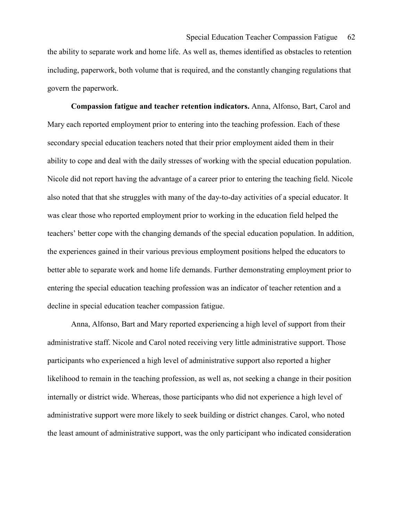the ability to separate work and home life. As well as, themes identified as obstacles to retention including, paperwork, both volume that is required, and the constantly changing regulations that govern the paperwork.

 Compassion fatigue and teacher retention indicators. Anna, Alfonso, Bart, Carol and Mary each reported employment prior to entering into the teaching profession. Each of these secondary special education teachers noted that their prior employment aided them in their ability to cope and deal with the daily stresses of working with the special education population. Nicole did not report having the advantage of a career prior to entering the teaching field. Nicole also noted that that she struggles with many of the day-to-day activities of a special educator. It was clear those who reported employment prior to working in the education field helped the teachers' better cope with the changing demands of the special education population. In addition, the experiences gained in their various previous employment positions helped the educators to better able to separate work and home life demands. Further demonstrating employment prior to entering the special education teaching profession was an indicator of teacher retention and a decline in special education teacher compassion fatigue.

Anna, Alfonso, Bart and Mary reported experiencing a high level of support from their administrative staff. Nicole and Carol noted receiving very little administrative support. Those participants who experienced a high level of administrative support also reported a higher likelihood to remain in the teaching profession, as well as, not seeking a change in their position internally or district wide. Whereas, those participants who did not experience a high level of administrative support were more likely to seek building or district changes. Carol, who noted the least amount of administrative support, was the only participant who indicated consideration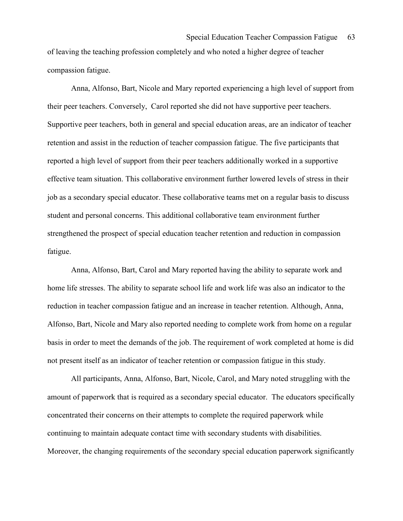of leaving the teaching profession completely and who noted a higher degree of teacher compassion fatigue.

Anna, Alfonso, Bart, Nicole and Mary reported experiencing a high level of support from their peer teachers. Conversely, Carol reported she did not have supportive peer teachers. Supportive peer teachers, both in general and special education areas, are an indicator of teacher retention and assist in the reduction of teacher compassion fatigue. The five participants that reported a high level of support from their peer teachers additionally worked in a supportive effective team situation. This collaborative environment further lowered levels of stress in their job as a secondary special educator. These collaborative teams met on a regular basis to discuss student and personal concerns. This additional collaborative team environment further strengthened the prospect of special education teacher retention and reduction in compassion fatigue.

Anna, Alfonso, Bart, Carol and Mary reported having the ability to separate work and home life stresses. The ability to separate school life and work life was also an indicator to the reduction in teacher compassion fatigue and an increase in teacher retention. Although, Anna, Alfonso, Bart, Nicole and Mary also reported needing to complete work from home on a regular basis in order to meet the demands of the job. The requirement of work completed at home is did not present itself as an indicator of teacher retention or compassion fatigue in this study.

All participants, Anna, Alfonso, Bart, Nicole, Carol, and Mary noted struggling with the amount of paperwork that is required as a secondary special educator. The educators specifically concentrated their concerns on their attempts to complete the required paperwork while continuing to maintain adequate contact time with secondary students with disabilities. Moreover, the changing requirements of the secondary special education paperwork significantly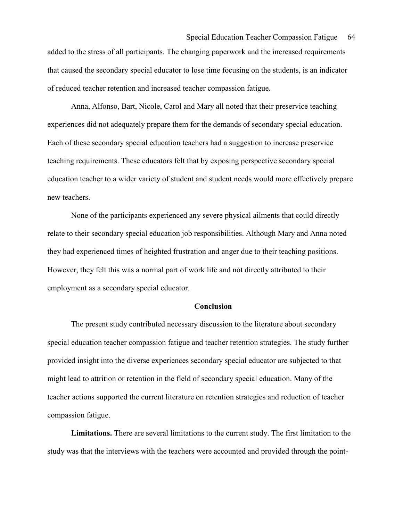added to the stress of all participants. The changing paperwork and the increased requirements that caused the secondary special educator to lose time focusing on the students, is an indicator of reduced teacher retention and increased teacher compassion fatigue.

Anna, Alfonso, Bart, Nicole, Carol and Mary all noted that their preservice teaching experiences did not adequately prepare them for the demands of secondary special education. Each of these secondary special education teachers had a suggestion to increase preservice teaching requirements. These educators felt that by exposing perspective secondary special education teacher to a wider variety of student and student needs would more effectively prepare new teachers.

None of the participants experienced any severe physical ailments that could directly relate to their secondary special education job responsibilities. Although Mary and Anna noted they had experienced times of heighted frustration and anger due to their teaching positions. However, they felt this was a normal part of work life and not directly attributed to their employment as a secondary special educator.

#### Conclusion

The present study contributed necessary discussion to the literature about secondary special education teacher compassion fatigue and teacher retention strategies. The study further provided insight into the diverse experiences secondary special educator are subjected to that might lead to attrition or retention in the field of secondary special education. Many of the teacher actions supported the current literature on retention strategies and reduction of teacher compassion fatigue.

 Limitations. There are several limitations to the current study. The first limitation to the study was that the interviews with the teachers were accounted and provided through the point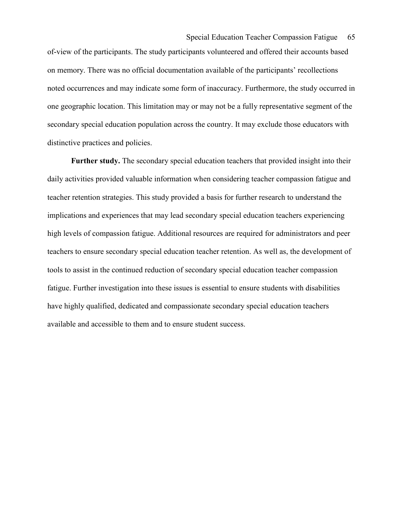of-view of the participants. The study participants volunteered and offered their accounts based on memory. There was no official documentation available of the participants' recollections noted occurrences and may indicate some form of inaccuracy. Furthermore, the study occurred in one geographic location. This limitation may or may not be a fully representative segment of the secondary special education population across the country. It may exclude those educators with distinctive practices and policies.

 Further study. The secondary special education teachers that provided insight into their daily activities provided valuable information when considering teacher compassion fatigue and teacher retention strategies. This study provided a basis for further research to understand the implications and experiences that may lead secondary special education teachers experiencing high levels of compassion fatigue. Additional resources are required for administrators and peer teachers to ensure secondary special education teacher retention. As well as, the development of tools to assist in the continued reduction of secondary special education teacher compassion fatigue. Further investigation into these issues is essential to ensure students with disabilities have highly qualified, dedicated and compassionate secondary special education teachers available and accessible to them and to ensure student success.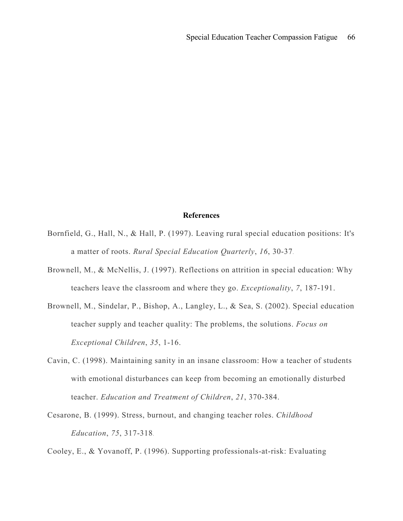### References

- Bornfield, G., Hall, N., & Hall, P. (1997). Leaving rural special education positions: It's a matter of roots. Rural Special Education Quarterly, 16, 30-37.
- Brownell, M., & McNellis, J. (1997). Reflections on attrition in special education: Why teachers leave the classroom and where they go. Exceptionality, 7, 187-191.
- Brownell, M., Sindelar, P., Bishop, A., Langley, L., & Sea, S. (2002). Special education teacher supply and teacher quality: The problems, the solutions. Focus on Exceptional Children, 35, 1-16.
- Cavin, C. (1998). Maintaining sanity in an insane classroom: How a teacher of students with emotional disturbances can keep from becoming an emotionally disturbed teacher. Education and Treatment of Children, 21, 370-384.
- Cesarone, B. (1999). Stress, burnout, and changing teacher roles. Childhood Education, 75, 317-318.

Cooley, E., & Yovanoff, P. (1996). Supporting professionals-at-risk: Evaluating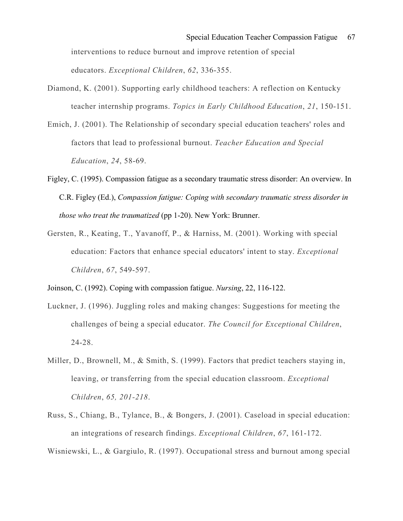interventions to reduce burnout and improve retention of special educators. Exceptional Children, 62, 336-355.

- Diamond, K. (2001). Supporting early childhood teachers: A reflection on Kentucky teacher internship programs. Topics in Early Childhood Education, 21, 150-151.
- Emich, J. (2001). The Relationship of secondary special education teachers' roles and factors that lead to professional burnout. Teacher Education and Special Education, 24, 58-69.
- Figley, C. (1995). Compassion fatigue as a secondary traumatic stress disorder: An overview. In C.R. Figley (Ed.), Compassion fatigue: Coping with secondary traumatic stress disorder in those who treat the traumatized (pp 1-20). New York: Brunner.
- Gersten, R., Keating, T., Yavanoff, P., & Harniss, M. (2001). Working with special education: Factors that enhance special educators' intent to stay. Exceptional Children, 67, 549-597.

Joinson, C. (1992). Coping with compassion fatigue. Nursing, 22, 116-122.

- Luckner, J. (1996). Juggling roles and making changes: Suggestions for meeting the challenges of being a special educator. The Council for Exceptional Children, 24-28.
- Miller, D., Brownell, M., & Smith, S. (1999). Factors that predict teachers staying in, leaving, or transferring from the special education classroom. Exceptional Children, 65, 201-218.
- Russ, S., Chiang, B., Tylance, B., & Bongers, J. (2001). Caseload in special education: an integrations of research findings. Exceptional Children, 67, 161-172.

Wisniewski, L., & Gargiulo, R. (1997). Occupational stress and burnout among special